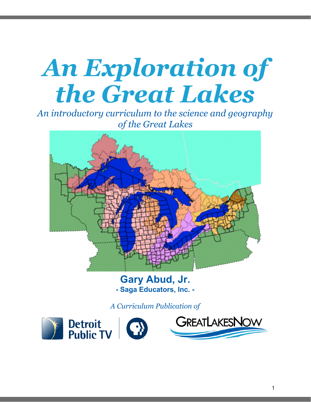# *An Exploration of the Great Lakes*

*An introductory curriculum to the science and geography of the Great Lakes*



**Gary Abud, Jr. - Saga Educators, Inc. -**

*A Curriculum Publication of*

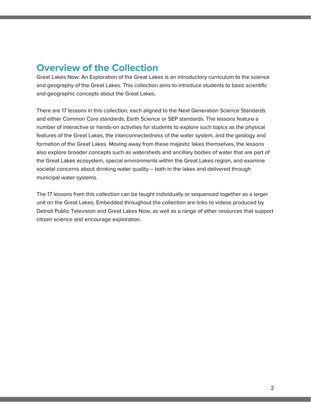## **Overview of the Collection**

Great Lakes Now: An Exploration of the Great Lakes is an introductory curriculum to the science and geography of the Great Lakes. This collection aims to introduce students to basic scientific and geographic concepts about the Great Lakes.

There are 17 lessons in this collection, each aligned to the Next Generation Science Standards and either Common Core standards, Earth Science or SEP standards. The lessons feature a number of interactive or hands-on activities for students to explore such topics as the physical features of the Great Lakes, the interconnectedness of the water system, and the geology and formation of the Great Lakes. Moving away from these majestic lakes themselves, the lessons also explore broader concepts such as watersheds and ancillary bodies of water that are part of the Great Lakes ecosystem, special environments within the Great Lakes region, and examine societal concerns about drinking water quality – both in the lakes and delivered through municipal water systems.

The 17 lessons from this collection can be taught individually or sequenced together as a larger unit on the Great Lakes. Embedded throughout the collection are links to videos produced by Detroit Public Television and Great Lakes Now, as well as a range of other resources that support citizen science and encourage exploration.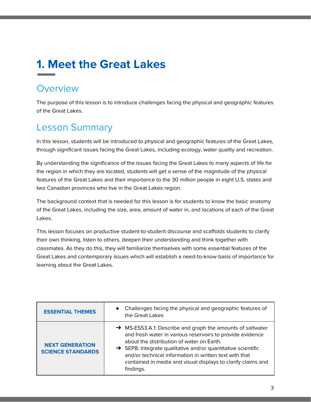## **1. Meet the Great Lakes**

### **Overview**

The purpose of this lesson is to introduce challenges facing the physical and geographic features of the Great Lakes.

## Lesson Summary

In this lesson, students will be introduced to physical and geographic features of the Great Lakes, through significant issues facing the Great Lakes, including ecology, water quality and recreation.

By understanding the significance of the issues facing the Great Lakes to many aspects of life for the region in which they are located, students will get a sense of the magnitude of the physical features of the Great Lakes and their importance to the 30 million people in eight U.S. states and two Canadian provinces who live in the Great Lakes region.

The background context that is needed for this lesson is for students to know the basic anatomy of the Great Lakes, including the size, area, amount of water in, and locations of each of the Great Lakes.

This lesson focuses on productive student-to-student discourse and scaffolds students to clarify their own thinking, listen to others, deepen their understanding and think together with classmates. As they do this, they will familiarize themselves with some essential features of the Great Lakes and contemporary issues which will establish a need-to-know basis of importance for learning about the Great Lakes.

| <b>ESSENTIAL THEMES</b>                            | Challenges facing the physical and geographic features of<br>$\bullet$<br>the Great Lakes                                                                                                                                                                                                                                                                                               |
|----------------------------------------------------|-----------------------------------------------------------------------------------------------------------------------------------------------------------------------------------------------------------------------------------------------------------------------------------------------------------------------------------------------------------------------------------------|
| <b>NEXT GENERATION</b><br><b>SCIENCE STANDARDS</b> | → MS-ESS3.A.1: Describe and graph the amounts of saltwater<br>and fresh water in various reservoirs to provide evidence<br>about the distribution of water on Earth.<br>$\rightarrow$ SEP8: Integrate qualitative and/or quantitative scientific<br>and/or technical information in written text with that<br>contained in media and visual displays to clarify claims and<br>findings. |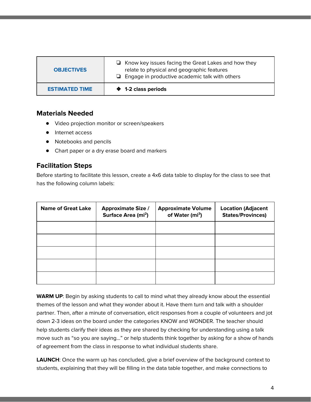| <b>OBJECTIVES</b>     | $\Box$ Know key issues facing the Great Lakes and how they<br>relate to physical and geographic features<br>$\Box$ Engage in productive academic talk with others |
|-----------------------|-------------------------------------------------------------------------------------------------------------------------------------------------------------------|
| <b>ESTIMATED TIME</b> | ♦ 1-2 class periods                                                                                                                                               |

- Video projection monitor or screen/speakers
- Internet access
- Notebooks and pencils
- Chart paper or a dry erase board and markers

#### **Facilitation Steps**

Before starting to facilitate this lesson, create a 4x6 data table to display for the class to see that has the following column labels:

| <b>Name of Great Lake</b> | <b>Approximate Size /</b><br>Surface Area (mi <sup>2</sup> ) | <b>Approximate Volume</b><br>of Water (mi <sup>3</sup> ) | <b>Location (Adjacent</b><br><b>States/Provinces)</b> |
|---------------------------|--------------------------------------------------------------|----------------------------------------------------------|-------------------------------------------------------|
|                           |                                                              |                                                          |                                                       |
|                           |                                                              |                                                          |                                                       |
|                           |                                                              |                                                          |                                                       |
|                           |                                                              |                                                          |                                                       |
|                           |                                                              |                                                          |                                                       |

**WARM UP**: Begin by asking students to call to mind what they already know about the essential themes of the lesson and what they wonder about it. Have them turn and talk with a shoulder partner. Then, after a minute of conversation, elicit responses from a couple of volunteers and jot down 2-3 ideas on the board under the categories KNOW and WONDER. The teacher should help students clarify their ideas as they are shared by checking for understanding using a talk move such as "so you are saying…" or help students think together by asking for a show of hands of agreement from the class in response to what individual students share.

LAUNCH: Once the warm up has concluded, give a brief overview of the background context to students, explaining that they will be filling in the data table together, and make connections to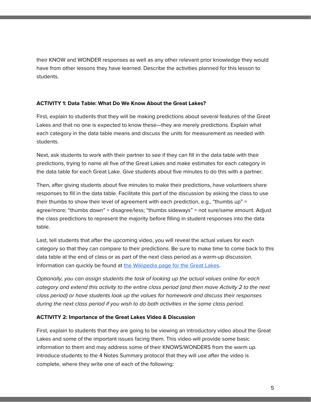their KNOW and WONDER responses as well as any other relevant prior knowledge they would have from other lessons they have learned. Describe the activities planned for this lesson to students.

#### **ACTIVITY 1: Data Table: What Do We Know About the Great Lakes?**

First, explain to students that they will be making predictions about several features of the Great Lakes and that no one is expected to know these—they are merely predictions. Explain what each category in the data table means and discuss the units for measurement as needed with students.

Next, ask students to work with their partner to see if they can fill in the data table with their predictions, trying to name all five of the Great Lakes and make estimates for each category in the data table for each Great Lake. Give students about five minutes to do this with a partner.

Then, after giving students about five minutes to make their predictions, have volunteers share responses to fill in the data table. Facilitate this part of the discussion by asking the class to use their thumbs to show their level of agreement with each prediction, e.g., "thumbs up" = agree/more; "thumbs down" = disagree/less; "thumbs sideways" = not sure/same amount. Adjust the class predictions to represent the majority before filling in student responses into the data table.

Last, tell students that after the upcoming video, you will reveal the actual values for each category so that they can compare to their predictions. Be sure to make time to come back to this data table at the end of class or as part of the next class period as a warm-up discussion. Information can quickly be found at the [Wikipedia](https://en.wikipedia.org/wiki/Great_Lakes) page for the Great Lakes.

Optionally, you can assign students the task of looking up the actual values online for each category and extend this activity to the entire class period (and then move Activity 2 to the next class period) or have students look up the values for homework and discuss their responses during the next class period if you wish to do both activities in the same class period.

#### **ACTIVITY 2: Importance of the Great Lakes Video & Discussion**

First, explain to students that they are going to be viewing an introductory video about the Great Lakes and some of the important issues facing them. This video will provide some basic information to them and may address some of their KNOWS/WONDERS from the warm up. Introduce students to the 4 Notes Summary protocol that they will use after the video is complete, where they write one of each of the following: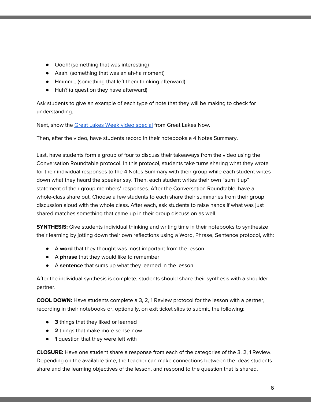- Oooh! (something that was interesting)
- Aaah! (something that was an ah-ha moment)
- Hmmm… (something that left them thinking afterward)
- Huh? (a question they have afterward)

Ask students to give an example of each type of note that they will be making to check for understanding.

Next, show the Great Lakes Week video [special](https://www.pbs.org/video/energy-environment-great-lakes-week-2015-special/) from Great Lakes Now.

Then, after the video, have students record in their notebooks a 4 Notes Summary.

Last, have students form a group of four to discuss their takeaways from the video using the Conversation Roundtable protocol. In this protocol, students take turns sharing what they wrote for their individual responses to the 4 Notes Summary with their group while each student writes down what they heard the speaker say. Then, each student writes their own "sum it up" statement of their group members' responses. After the Conversation Roundtable, have a whole-class share out. Choose a few students to each share their summaries from their group discussion aloud with the whole class. After each, ask students to raise hands if what was just shared matches something that came up in their group discussion as well.

**SYNTHESIS:** Give students individual thinking and writing time in their notebooks to synthesize their learning by jotting down their own reflections using a Word, Phrase, Sentence protocol, with:

- A **word** that they thought was most important from the lesson
- A **phrase** that they would like to remember
- A **sentence** that sums up what they learned in the lesson

After the individual synthesis is complete, students should share their synthesis with a shoulder partner.

**COOL DOWN:** Have students complete a 3, 2, 1 Review protocol for the lesson with a partner, recording in their notebooks or, optionally, on exit ticket slips to submit, the following:

- **3** things that they liked or learned
- **2** things that make more sense now
- **1** question that they were left with

**CLOSURE:** Have one student share a response from each of the categories of the 3, 2, 1 Review. Depending on the available time, the teacher can make connections between the ideas students share and the learning objectives of the lesson, and respond to the question that is shared.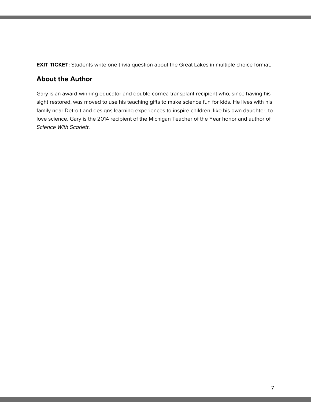**EXIT TICKET:** Students write one trivia question about the Great Lakes in multiple choice format.

#### **About the Author**

Gary is an award-winning educator and double cornea transplant recipient who, since having his sight restored, was moved to use his teaching gifts to make science fun for kids. He lives with his family near Detroit and designs learning experiences to inspire children, like his own daughter, to love science. Gary is the 2014 recipient of the Michigan Teacher of the Year honor and author of Science With Scarlett.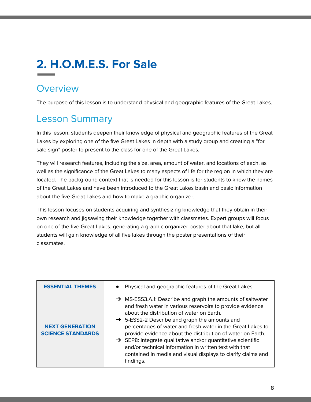## **2. H.O.M.E.S. For Sale**

### **Overview**

The purpose of this lesson is to understand physical and geographic features of the Great Lakes.

## Lesson Summary

In this lesson, students deepen their knowledge of physical and geographic features of the Great Lakes by exploring one of the five Great Lakes in depth with a study group and creating a "for sale sign" poster to present to the class for one of the Great Lakes.

They will research features, including the size, area, amount of water, and locations of each, as well as the significance of the Great Lakes to many aspects of life for the region in which they are located. The background context that is needed for this lesson is for students to know the names of the Great Lakes and have been introduced to the Great Lakes basin and basic information about the five Great Lakes and how to make a graphic organizer.

This lesson focuses on students acquiring and synthesizing knowledge that they obtain in their own research and jigsawing their knowledge together with classmates. Expert groups will focus on one of the five Great Lakes, generating a graphic organizer poster about that lake, but all students will gain knowledge of all five lakes through the poster presentations of their classmates.

| <b>ESSENTIAL THEMES</b>                            | Physical and geographic features of the Great Lakes                                                                                                                                                                                                                                                                                                                                                                                                                                                                                                                              |
|----------------------------------------------------|----------------------------------------------------------------------------------------------------------------------------------------------------------------------------------------------------------------------------------------------------------------------------------------------------------------------------------------------------------------------------------------------------------------------------------------------------------------------------------------------------------------------------------------------------------------------------------|
| <b>NEXT GENERATION</b><br><b>SCIENCE STANDARDS</b> | → MS-ESS3.A.1: Describe and graph the amounts of saltwater<br>and fresh water in various reservoirs to provide evidence<br>about the distribution of water on Earth.<br>$\rightarrow$ 5-ESS2-2 Describe and graph the amounts and<br>percentages of water and fresh water in the Great Lakes to<br>provide evidence about the distribution of water on Earth.<br>$\rightarrow$ SEP8: Integrate qualitative and/or quantitative scientific<br>and/or technical information in written text with that<br>contained in media and visual displays to clarify claims and<br>findings. |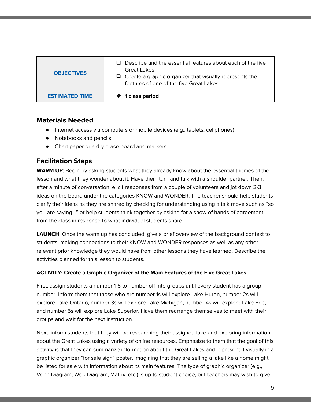| <b>OBJECTIVES</b>     | $\Box$ Describe and the essential features about each of the five<br>Great Lakes<br>$\Box$ Create a graphic organizer that visually represents the<br>features of one of the five Great Lakes |
|-----------------------|-----------------------------------------------------------------------------------------------------------------------------------------------------------------------------------------------|
| <b>ESTIMATED TIME</b> | <b>♦ 1 class period</b>                                                                                                                                                                       |

- Internet access via computers or mobile devices (e.g., tablets, cellphones)
- Notebooks and pencils
- Chart paper or a dry erase board and markers

#### **Facilitation Steps**

**WARM UP**: Begin by asking students what they already know about the essential themes of the lesson and what they wonder about it. Have them turn and talk with a shoulder partner. Then, after a minute of conversation, elicit responses from a couple of volunteers and jot down 2-3 ideas on the board under the categories KNOW and WONDER. The teacher should help students clarify their ideas as they are shared by checking for understanding using a talk move such as "so you are saying…" or help students think together by asking for a show of hands of agreement from the class in response to what individual students share.

**LAUNCH**: Once the warm up has concluded, give a brief overview of the background context to students, making connections to their KNOW and WONDER responses as well as any other relevant prior knowledge they would have from other lessons they have learned. Describe the activities planned for this lesson to students.

#### **ACTIVITY: Create a Graphic Organizer of the Main Features of the Five Great Lakes**

First, assign students a number 1-5 to number off into groups until every student has a group number. Inform them that those who are number 1s will explore Lake Huron, number 2s will explore Lake Ontario, number 3s will explore Lake Michigan, number 4s will explore Lake Erie, and number 5s will explore Lake Superior. Have them rearrange themselves to meet with their groups and wait for the next instruction.

Next, inform students that they will be researching their assigned lake and exploring information about the Great Lakes using a variety of online resources. Emphasize to them that the goal of this activity is that they can summarize information about the Great Lakes and represent it visually in a graphic organizer "for sale sign" poster, imagining that they are selling a lake like a home might be listed for sale with information about its main features. The type of graphic organizer (e.g., Venn Diagram, Web Diagram, Matrix, etc.) is up to student choice, but teachers may wish to give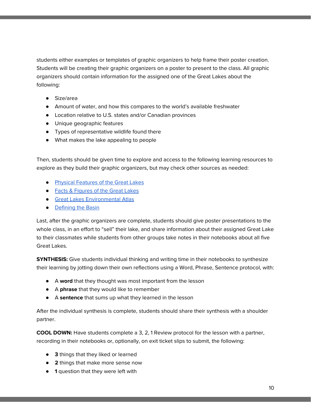students either examples or templates of graphic organizers to help frame their poster creation. Students will be creating their graphic organizers on a poster to present to the class. All graphic organizers should contain information for the assigned one of the Great Lakes about the following:

- Size/area
- Amount of water, and how this compares to the world's available freshwater
- Location relative to U.S. states and/or Canadian provinces
- Unique geographic features
- Types of representative wildlife found there
- What makes the lake appealing to people

Then, students should be given time to explore and access to the following learning resources to explore as they build their graphic organizers, but may check other sources as needed:

- Physical [Features](https://www.epa.gov/greatlakes/physical-features-great-lakes) of the Great Lakes
- Facts & [Figures](https://www.epa.gov/greatlakes/facts-and-figures-about-great-lakes) of the Great Lakes
- Great Lakes [Environmental](https://nepis.epa.gov/Exe/ZyPDF.cgi/P1004ICU.PDF?Dockey=P1004ICU.PDF) Atlas
- [Defining](https://www.canr.msu.edu/news/great_lakes_literacy_principle_one_the_great_lakes_bodies_of_fresh_water_wi) the Basin

Last, after the graphic organizers are complete, students should give poster presentations to the whole class, in an effort to "sell" their lake, and share information about their assigned Great Lake to their classmates while students from other groups take notes in their notebooks about all five Great Lakes.

**SYNTHESIS:** Give students individual thinking and writing time in their notebooks to synthesize their learning by jotting down their own reflections using a Word, Phrase, Sentence protocol, with:

- A **word** that they thought was most important from the lesson
- A **phrase** that they would like to remember
- A **sentence** that sums up what they learned in the lesson

After the individual synthesis is complete, students should share their synthesis with a shoulder partner.

**COOL DOWN:** Have students complete a 3, 2, 1 Review protocol for the lesson with a partner, recording in their notebooks or, optionally, on exit ticket slips to submit, the following:

- **3** things that they liked or learned
- **2** things that make more sense now
- **1** question that they were left with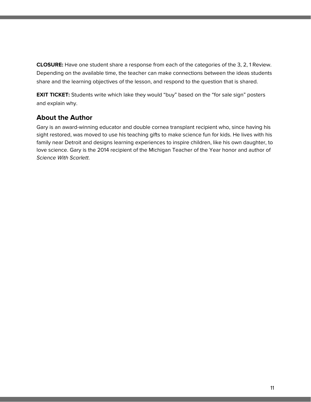**CLOSURE:** Have one student share a response from each of the categories of the 3, 2, 1 Review. Depending on the available time, the teacher can make connections between the ideas students share and the learning objectives of the lesson, and respond to the question that is shared.

**EXIT TICKET:** Students write which lake they would "buy" based on the "for sale sign" posters and explain why.

#### **About the Author**

Gary is an award-winning educator and double cornea transplant recipient who, since having his sight restored, was moved to use his teaching gifts to make science fun for kids. He lives with his family near Detroit and designs learning experiences to inspire children, like his own daughter, to love science. Gary is the 2014 recipient of the Michigan Teacher of the Year honor and author of Science With Scarlett.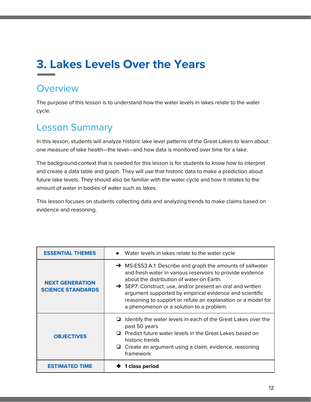## **3. Lakes Levels Over the Years**

### **Overview**

The purpose of this lesson is to understand how the water levels in lakes relate to the water cycle.

## Lesson Summary

In this lesson, students will analyze historic lake level patterns of the Great Lakes to learn about one measure of lake health—the level—and how data is monitored over time for a lake.

The background context that is needed for this lesson is for students to know how to interpret and create a data table and graph. They will use that historic data to make a prediction about future lake levels. They should also be familiar with the water cycle and how it relates to the amount of water in bodies of water such as lakes.

This lesson focuses on students collecting data and analyzing trends to make claims based on evidence and reasoning.

| <b>ESSENTIAL THEMES</b>                            | Water levels in lakes relate to the water cycle                                                                                                                                                                                                                                                                                                                                                                       |
|----------------------------------------------------|-----------------------------------------------------------------------------------------------------------------------------------------------------------------------------------------------------------------------------------------------------------------------------------------------------------------------------------------------------------------------------------------------------------------------|
| <b>NEXT GENERATION</b><br><b>SCIENCE STANDARDS</b> | → MS-ESS3.A.1: Describe and graph the amounts of saltwater<br>and fresh water in various reservoirs to provide evidence<br>about the distribution of water on Earth.<br>$\rightarrow$ SEP7: Construct, use, and/or present an oral and written<br>argument supported by empirical evidence and scientific<br>reasoning to support or refute an explanation or a model for<br>a phenomenon or a solution to a problem. |
| <b>OBJECTIVES</b>                                  | Identify the water levels in each of the Great Lakes over the<br>past 50 years<br>Predict future water levels in the Great Lakes based on<br>historic trends<br>$\Box$ Create an argument using a claim, evidence, reasoning<br>framework                                                                                                                                                                             |
| <b>ESTIMATED TIME</b>                              | 1 class period                                                                                                                                                                                                                                                                                                                                                                                                        |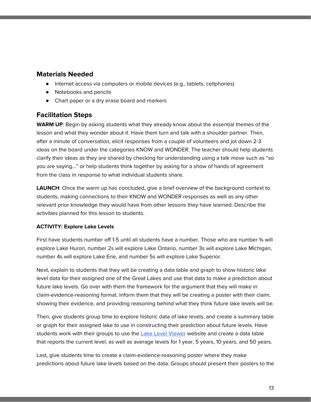- Internet access via computers or mobile devices (e.g., tablets, cellphones)
- Notebooks and pencils
- Chart paper or a dry erase board and markers

#### **Facilitation Steps**

**WARM UP**: Begin by asking students what they already know about the essential themes of the lesson and what they wonder about it. Have them turn and talk with a shoulder partner. Then, after a minute of conversation, elicit responses from a couple of volunteers and jot down 2-3 ideas on the board under the categories KNOW and WONDER. The teacher should help students clarify their ideas as they are shared by checking for understanding using a talk move such as "so you are saying…" or help students think together by asking for a show of hands of agreement from the class in response to what individual students share.

**LAUNCH**: Once the warm up has concluded, give a brief overview of the background context to students, making connections to their KNOW and WONDER responses as well as any other relevant prior knowledge they would have from other lessons they have learned. Describe the activities planned for this lesson to students.

#### **ACTIVITY: Explore Lake Levels**

First have students number off 1-5 until all students have a number. Those who are number 1s will explore Lake Huron, number 2s will explore Lake Ontario, number 3s will explore Lake Michigan, number 4s will explore Lake Erie, and number 5s will explore Lake Superior.

Next, explain to students that they will be creating a data table and graph to show historic lake level data for their assigned one of the Great Lakes and use that data to make a prediction about future lake levels. Go over with them the framework for the argument that they will make in claim-evidence-reasoning format. Inform them that they will be creating a poster with their claim, showing their evidence, and providing reasoning behind what they think future lake levels will be.

Then, give students group time to explore historic data of lake levels, and create a summary table or graph for their assigned lake to use in constructing their prediction about future levels. Have students work with their groups to use the Lake Level [Viewer](https://coast.noaa.gov/llv/) website and create a data table that reports the current level, as well as average levels for 1 year, 5 years, 10 years, and 50 years.

Last, give students time to create a claim-evidence-reasoning poster where they make predictions about future lake levels based on the data. Groups should present their posters to the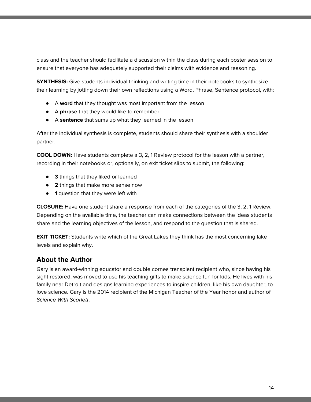class and the teacher should facilitate a discussion within the class during each poster session to ensure that everyone has adequately supported their claims with evidence and reasoning.

**SYNTHESIS:** Give students individual thinking and writing time in their notebooks to synthesize their learning by jotting down their own reflections using a Word, Phrase, Sentence protocol, with:

- A **word** that they thought was most important from the lesson
- A **phrase** that they would like to remember
- A **sentence** that sums up what they learned in the lesson

After the individual synthesis is complete, students should share their synthesis with a shoulder partner.

**COOL DOWN:** Have students complete a 3, 2, 1 Review protocol for the lesson with a partner, recording in their notebooks or, optionally, on exit ticket slips to submit, the following:

- **3** things that they liked or learned
- **2** things that make more sense now
- **1** question that they were left with

**CLOSURE:** Have one student share a response from each of the categories of the 3, 2, 1 Review. Depending on the available time, the teacher can make connections between the ideas students share and the learning objectives of the lesson, and respond to the question that is shared.

**EXIT TICKET:** Students write which of the Great Lakes they think has the most concerning lake levels and explain why.

#### **About the Author**

Gary is an award-winning educator and double cornea transplant recipient who, since having his sight restored, was moved to use his teaching gifts to make science fun for kids. He lives with his family near Detroit and designs learning experiences to inspire children, like his own daughter, to love science. Gary is the 2014 recipient of the Michigan Teacher of the Year honor and author of Science With Scarlett.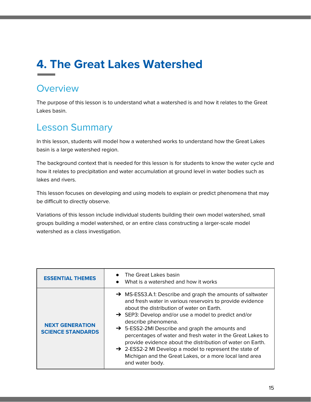## **4. The Great Lakes Watershed**

### **Overview**

The purpose of this lesson is to understand what a watershed is and how it relates to the Great Lakes basin.

## Lesson Summary

In this lesson, students will model how a watershed works to understand how the Great Lakes basin is a large watershed region.

The background context that is needed for this lesson is for students to know the water cycle and how it relates to precipitation and water accumulation at ground level in water bodies such as lakes and rivers.

This lesson focuses on developing and using models to explain or predict phenomena that may be difficult to directly observe.

Variations of this lesson include individual students building their own model watershed, small groups building a model watershed, or an entire class constructing a larger-scale model watershed as a class investigation.

| <b>ESSENTIAL THEMES</b>                            | The Great Lakes basin<br>What is a watershed and how it works<br>$\bullet$                                                                                                                                                                                                                                                                                                                                                                                                                                                                                                                                      |
|----------------------------------------------------|-----------------------------------------------------------------------------------------------------------------------------------------------------------------------------------------------------------------------------------------------------------------------------------------------------------------------------------------------------------------------------------------------------------------------------------------------------------------------------------------------------------------------------------------------------------------------------------------------------------------|
| <b>NEXT GENERATION</b><br><b>SCIENCE STANDARDS</b> | $\rightarrow$ MS-ESS3.A.1: Describe and graph the amounts of saltwater<br>and fresh water in various reservoirs to provide evidence<br>about the distribution of water on Earth.<br>$\rightarrow$ SEP3: Develop and/or use a model to predict and/or<br>describe phenomena.<br>→ 5-ESS2-2MI Describe and graph the amounts and<br>percentages of water and fresh water in the Great Lakes to<br>provide evidence about the distribution of water on Earth.<br>$\rightarrow$ 2-ESS2-2 MI Develop a model to represent the state of<br>Michigan and the Great Lakes, or a more local land area<br>and water body. |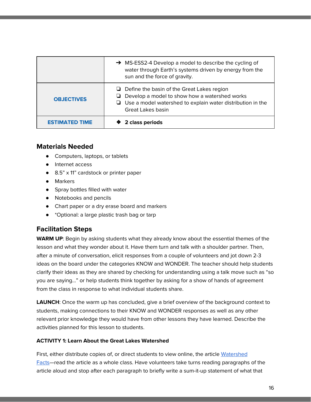|                       | $\rightarrow$ MS-ESS2-4 Develop a model to describe the cycling of<br>water through Earth's systems driven by energy from the<br>sun and the force of gravity.                                      |
|-----------------------|-----------------------------------------------------------------------------------------------------------------------------------------------------------------------------------------------------|
| <b>OBJECTIVES</b>     | $\Box$ Define the basin of the Great Lakes region<br>$\Box$ Develop a model to show how a watershed works<br>$\Box$ Use a model watershed to explain water distribution in the<br>Great Lakes basin |
| <b>ESTIMATED TIME</b> | 2 class periods                                                                                                                                                                                     |

- Computers, laptops, or tablets
- Internet access
- 8.5" x 11" cardstock or printer paper
- Markers
- Spray bottles filled with water
- Notebooks and pencils
- Chart paper or a dry erase board and markers
- \*Optional: a large plastic trash bag or tarp

#### **Facilitation Steps**

**WARM UP**: Begin by asking students what they already know about the essential themes of the lesson and what they wonder about it. Have them turn and talk with a shoulder partner. Then, after a minute of conversation, elicit responses from a couple of volunteers and jot down 2-3 ideas on the board under the categories KNOW and WONDER. The teacher should help students clarify their ideas as they are shared by checking for understanding using a talk move such as "so you are saying…" or help students think together by asking for a show of hands of agreement from the class in response to what individual students share.

**LAUNCH**: Once the warm up has concluded, give a brief overview of the background context to students, making connections to their KNOW and WONDER responses as well as any other relevant prior knowledge they would have from other lessons they have learned. Describe the activities planned for this lesson to students.

#### **ACTIVITY 1: Learn About the Great Lakes Watershed**

First, either distribute copies of, or direct students to view online, the article [Watershed](https://oceanservice.noaa.gov/facts/watershed.html) [Facts—](https://oceanservice.noaa.gov/facts/watershed.html)read the article as a whole class. Have volunteers take turns reading paragraphs of the article aloud and stop after each paragraph to briefly write a sum-it-up statement of what that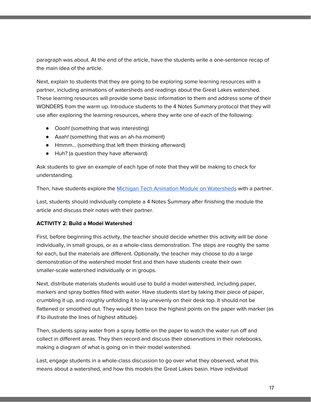paragraph was about. At the end of the article, have the students write a one-sentence recap of the main idea of the article.

Next, explain to students that they are going to be exploring some learning resources with a partner, including animations of watersheds and readings about the Great Lakes watershed. These learning resources will provide some basic information to them and address some of their WONDERS from the warm up. Introduce students to the 4 Notes Summary protocol that they will use after exploring the learning resources, where they write one of each of the following:

- Oooh! (something that was interesting)
- Aaah! (something that was an ah-ha moment)
- Hmmm… (something that left them thinking afterward)
- Huh? (a question they have afterward)

Ask students to give an example of each type of note that they will be making to check for understanding.

Then, have students explore the Michigan Tech Animation Module on [Watersheds](http://techalive.mtu.edu/meec/module01/title.htm) with a partner.

Last, students should individually complete a 4 Notes Summary after finishing the module the article and discuss their notes with their partner.

#### **ACTIVITY 2: Build a Model Watershed**

First, before beginning this activity, the teacher should decide whether this activity will be done individually, in small groups, or as a whole-class demonstration. The steps are roughly the same for each, but the materials are different. Optionally, the teacher may choose to do a large demonstration of the watershed model first and then have students create their own smaller-scale watershed individually or in groups.

Next, distribute materials students would use to build a model watershed, including paper, markers and spray bottles filled with water. Have students start by taking their piece of paper, crumbling it up, and roughly unfolding it to lay unevenly on their desk top. It should not be flattened or smoothed out. They would then trace the highest points on the paper with marker (as if to illustrate the lines of highest altitude).

Then, students spray water from a spray bottle on the paper to watch the water run off and collect in different areas. They then record and discuss their observations in their notebooks, making a diagram of what is going on in their model watershed.

Last, engage students in a whole-class discussion to go over what they observed, what this means about a watershed, and how this models the Great Lakes basin. Have individual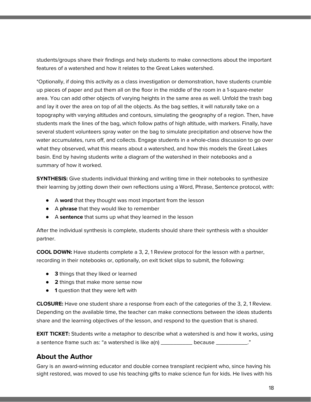students/groups share their findings and help students to make connections about the important features of a watershed and how it relates to the Great Lakes watershed.

\*Optionally, if doing this activity as a class investigation or demonstration, have students crumble up pieces of paper and put them all on the floor in the middle of the room in a 1-square-meter area. You can add other objects of varying heights in the same area as well. Unfold the trash bag and lay it over the area on top of all the objects. As the bag settles, it will naturally take on a topography with varying altitudes and contours, simulating the geography of a region. Then, have students mark the lines of the bag, which follow paths of high altitude, with markers. Finally, have several student volunteers spray water on the bag to simulate precipitation and observe how the water accumulates, runs off, and collects. Engage students in a whole-class discussion to go over what they observed, what this means about a watershed, and how this models the Great Lakes basin. End by having students write a diagram of the watershed in their notebooks and a summary of how it worked.

**SYNTHESIS:** Give students individual thinking and writing time in their notebooks to synthesize their learning by jotting down their own reflections using a Word, Phrase, Sentence protocol, with:

- A **word** that they thought was most important from the lesson
- A **phrase** that they would like to remember
- A **sentence** that sums up what they learned in the lesson

After the individual synthesis is complete, students should share their synthesis with a shoulder partner.

**COOL DOWN:** Have students complete a 3, 2, 1 Review protocol for the lesson with a partner, recording in their notebooks or, optionally, on exit ticket slips to submit, the following:

- **3** things that they liked or learned
- **2** things that make more sense now
- **1** question that they were left with

**CLOSURE:** Have one student share a response from each of the categories of the 3, 2, 1 Review. Depending on the available time, the teacher can make connections between the ideas students share and the learning objectives of the lesson, and respond to the question that is shared.

**EXIT TICKET:** Students write a metaphor to describe what a watershed is and how it works, using a sentence frame such as: "a watershed is like  $a(n)$  \_\_\_\_\_\_\_\_\_\_ because \_\_\_\_\_\_\_\_\_\_."

#### **About the Author**

Gary is an award-winning educator and double cornea transplant recipient who, since having his sight restored, was moved to use his teaching gifts to make science fun for kids. He lives with his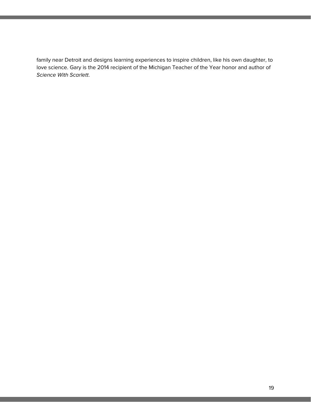family near Detroit and designs learning experiences to inspire children, like his own daughter, to love science. Gary is the 2014 recipient of the Michigan Teacher of the Year honor and author of Science With Scarlett.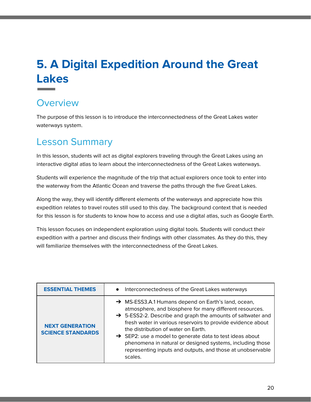## **5. A Digital Expedition Around the Great Lakes**

## **Overview**

The purpose of this lesson is to introduce the interconnectedness of the Great Lakes water waterways system.

## Lesson Summary

In this lesson, students will act as digital explorers traveling through the Great Lakes using an interactive digital atlas to learn about the interconnectedness of the Great Lakes waterways.

Students will experience the magnitude of the trip that actual explorers once took to enter into the waterway from the Atlantic Ocean and traverse the paths through the five Great Lakes.

Along the way, they will identify different elements of the waterways and appreciate how this expedition relates to travel routes still used to this day. The background context that is needed for this lesson is for students to know how to access and use a digital atlas, such as Google Earth.

This lesson focuses on independent exploration using digital tools. Students will conduct their expedition with a partner and discuss their findings with other classmates. As they do this, they will familiarize themselves with the interconnectedness of the Great Lakes.

| <b>ESSENTIAL THEMES</b>                            | Interconnectedness of the Great Lakes waterways<br>$\bullet$                                                                                                                                                                                                                                                                                                                                                                                                                        |
|----------------------------------------------------|-------------------------------------------------------------------------------------------------------------------------------------------------------------------------------------------------------------------------------------------------------------------------------------------------------------------------------------------------------------------------------------------------------------------------------------------------------------------------------------|
| <b>NEXT GENERATION</b><br><b>SCIENCE STANDARDS</b> | → MS-ESS3.A.1 Humans depend on Earth's land, ocean,<br>atmosphere, and biosphere for many different resources.<br>→ 5-ESS2-2. Describe and graph the amounts of saltwater and<br>fresh water in various reservoirs to provide evidence about<br>the distribution of water on Earth.<br>SEP2: use a model to generate data to test ideas about<br>phenomena in natural or designed systems, including those<br>representing inputs and outputs, and those at unobservable<br>scales. |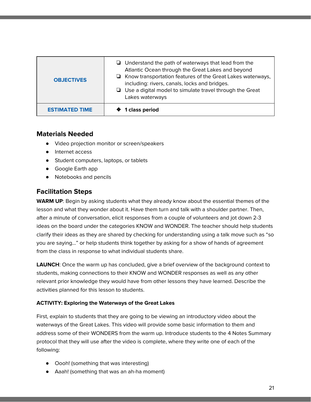| <b>OBJECTIVES</b>     | $\Box$ Understand the path of waterways that lead from the<br>Atlantic Ocean through the Great Lakes and beyond<br>$\Box$ Know transportation features of the Great Lakes waterways,<br>including: rivers, canals, locks and bridges.<br>$\Box$ Use a digital model to simulate travel through the Great<br>Lakes waterways |
|-----------------------|-----------------------------------------------------------------------------------------------------------------------------------------------------------------------------------------------------------------------------------------------------------------------------------------------------------------------------|
| <b>ESTIMATED TIME</b> | 1 class period                                                                                                                                                                                                                                                                                                              |

- **●** Video projection monitor or screen/speakers
- Internet access
- Student computers, laptops, or tablets
- Google Earth app
- Notebooks and pencils

#### **Facilitation Steps**

**WARM UP**: Begin by asking students what they already know about the essential themes of the lesson and what they wonder about it. Have them turn and talk with a shoulder partner. Then, after a minute of conversation, elicit responses from a couple of volunteers and jot down 2-3 ideas on the board under the categories KNOW and WONDER. The teacher should help students clarify their ideas as they are shared by checking for understanding using a talk move such as "so you are saying…" or help students think together by asking for a show of hands of agreement from the class in response to what individual students share.

**LAUNCH**: Once the warm up has concluded, give a brief overview of the background context to students, making connections to their KNOW and WONDER responses as well as any other relevant prior knowledge they would have from other lessons they have learned. Describe the activities planned for this lesson to students.

#### **ACTIVITY: Exploring the Waterways of the Great Lakes**

First, explain to students that they are going to be viewing an introductory video about the waterways of the Great Lakes. This video will provide some basic information to them and address some of their WONDERS from the warm up. Introduce students to the 4 Notes Summary protocol that they will use after the video is complete, where they write one of each of the following:

- Oooh! (something that was interesting)
- Aaah! (something that was an ah-ha moment)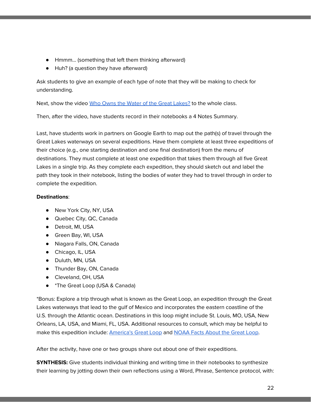- Hmmm… (something that left them thinking afterward)
- Huh? (a question they have afterward)

Ask students to give an example of each type of note that they will be making to check for understanding.

Next, show the video Who Owns the Water of the Great [Lakes?](https://dptv.pbslearningmedia.org/resource/wnet08.sci.ess.watcyc.wnetgrlake/who-owns-the-water-of-the-great-lakes/) to the whole class.

Then, after the video, have students record in their notebooks a 4 Notes Summary.

Last, have students work in partners on Google Earth to map out the path(s) of travel through the Great Lakes waterways on several expeditions. Have them complete at least three expeditions of their choice (e.g., one starting destination and one final destination) from the menu of destinations. They must complete at least one expedition that takes them through all five Great Lakes in a single trip. As they complete each expedition, they should sketch out and label the path they took in their notebook, listing the bodies of water they had to travel through in order to complete the expedition.

#### **Destinations**:

- New York City, NY, USA
- Quebec City, QC, Canada
- Detroit, MI, USA
- Green Bay, WI, USA
- Niagara Falls, ON, Canada
- Chicago, IL, USA
- Duluth, MN, USA
- Thunder Bay, ON, Canada
- Cleveland, OH, USA
- \*The Great Loop (USA & Canada)

\*Bonus: Explore a trip through what is known as the Great Loop, an expedition through the Great Lakes waterways that lead to the gulf of Mexico and incorporates the eastern coastline of the U.S. through the Atlantic ocean. Destinations in this loop might include St. Louis, MO, USA, New Orleans, LA, USA, and Miami, FL, USA. Additional resources to consult, which may be helpful to make this expedition include: [America's](https://www.greatloop.org/content.aspx?sl=1249451118) Great Loop and [NOAA](https://oceanservice.noaa.gov/facts/great-loop.html) Facts About the Great Loop.

After the activity, have one or two groups share out about one of their expeditions.

**SYNTHESIS:** Give students individual thinking and writing time in their notebooks to synthesize their learning by jotting down their own reflections using a Word, Phrase, Sentence protocol, with: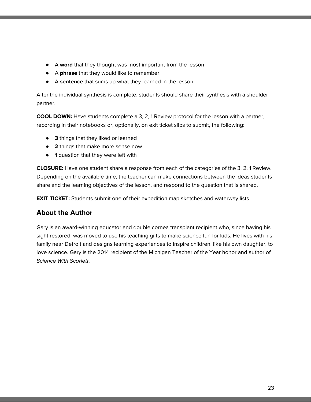- A **word** that they thought was most important from the lesson
- A **phrase** that they would like to remember
- A **sentence** that sums up what they learned in the lesson

After the individual synthesis is complete, students should share their synthesis with a shoulder partner.

**COOL DOWN:** Have students complete a 3, 2, 1 Review protocol for the lesson with a partner, recording in their notebooks or, optionally, on exit ticket slips to submit, the following:

- **3** things that they liked or learned
- **2** things that make more sense now
- **1** question that they were left with

**CLOSURE:** Have one student share a response from each of the categories of the 3, 2, 1 Review. Depending on the available time, the teacher can make connections between the ideas students share and the learning objectives of the lesson, and respond to the question that is shared.

**EXIT TICKET:** Students submit one of their expedition map sketches and waterway lists.

#### **About the Author**

Gary is an award-winning educator and double cornea transplant recipient who, since having his sight restored, was moved to use his teaching gifts to make science fun for kids. He lives with his family near Detroit and designs learning experiences to inspire children, like his own daughter, to love science. Gary is the 2014 recipient of the Michigan Teacher of the Year honor and author of Science With Scarlett.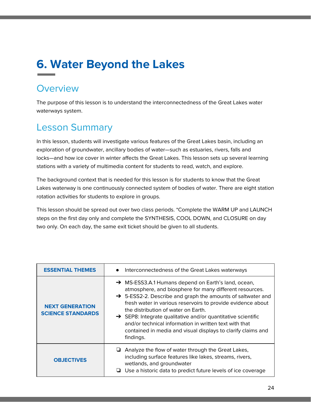## **6. Water Beyond the Lakes**

### **Overview**

The purpose of this lesson is to understand the interconnectedness of the Great Lakes water waterways system.

## Lesson Summary

In this lesson, students will investigate various features of the Great Lakes basin, including an exploration of groundwater, ancillary bodies of water—such as estuaries, rivers, falls and locks—and how ice cover in winter affects the Great Lakes. This lesson sets up several learning stations with a variety of multimedia content for students to read, watch, and explore.

The background context that is needed for this lesson is for students to know that the Great Lakes waterway is one continuously connected system of bodies of water. There are eight station rotation activities for students to explore in groups.

This lesson should be spread out over two class periods. \*Complete the WARM UP and LAUNCH steps on the first day only and complete the SYNTHESIS, COOL DOWN, and CLOSURE on day two only. On each day, the same exit ticket should be given to all students.

| <b>ESSENTIAL THEMES</b>                            | Interconnectedness of the Great Lakes waterways<br>$\bullet$                                                                                                                                                                                                                                                                                                                                                                                                                                                       |
|----------------------------------------------------|--------------------------------------------------------------------------------------------------------------------------------------------------------------------------------------------------------------------------------------------------------------------------------------------------------------------------------------------------------------------------------------------------------------------------------------------------------------------------------------------------------------------|
| <b>NEXT GENERATION</b><br><b>SCIENCE STANDARDS</b> | $\rightarrow$ MS-ESS3.A.1 Humans depend on Earth's land, ocean,<br>atmosphere, and biosphere for many different resources.<br>→ 5-ESS2-2. Describe and graph the amounts of saltwater and<br>fresh water in various reservoirs to provide evidence about<br>the distribution of water on Earth.<br>$\rightarrow$ SEP8: Integrate qualitative and/or quantitative scientific<br>and/or technical information in written text with that<br>contained in media and visual displays to clarify claims and<br>findings. |
| <b>OBJECTIVES</b>                                  | Analyze the flow of water through the Great Lakes,<br>⊔<br>including surface features like lakes, streams, rivers,<br>wetlands, and groundwater<br>Use a historic data to predict future levels of ice coverage                                                                                                                                                                                                                                                                                                    |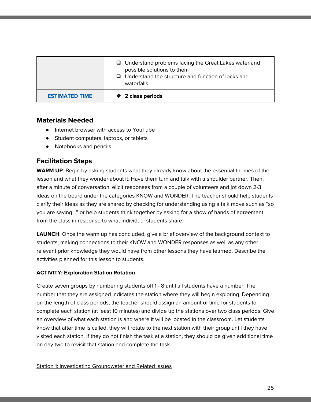|                       | $\Box$ Understand problems facing the Great Lakes water and<br>possible solutions to them<br>$\Box$ Understand the structure and function of locks and<br>waterfalls |
|-----------------------|----------------------------------------------------------------------------------------------------------------------------------------------------------------------|
| <b>ESTIMATED TIME</b> | ♦ 2 class periods                                                                                                                                                    |

- Internet browser with access to YouTube
- Student computers, laptops, or tablets
- Notebooks and pencils

#### **Facilitation Steps**

**WARM UP**: Begin by asking students what they already know about the essential themes of the lesson and what they wonder about it. Have them turn and talk with a shoulder partner. Then, after a minute of conversation, elicit responses from a couple of volunteers and jot down 2-3 ideas on the board under the categories KNOW and WONDER. The teacher should help students clarify their ideas as they are shared by checking for understanding using a talk move such as "so you are saying…" or help students think together by asking for a show of hands of agreement from the class in response to what individual students share.

**LAUNCH**: Once the warm up has concluded, give a brief overview of the background context to students, making connections to their KNOW and WONDER responses as well as any other relevant prior knowledge they would have from other lessons they have learned. Describe the activities planned for this lesson to students.

#### **ACTIVITY: Exploration Station Rotation**

Create seven groups by numbering students off 1 - 8 until all students have a number. The number that they are assigned indicates the station where they will begin exploring. Depending on the length of class periods, the teacher should assign an amount of time for students to complete each station (at least 10 minutes) and divide up the stations over two class periods. Give an overview of what each station is and where it will be located in the classroom. Let students know that after time is called, they will rotate to the next station with their group until they have visited each station. If they do not finish the task at a station, they should be given additional time on day two to revisit that station and complete the task.

#### Station 1: Investigating Groundwater and Related Issues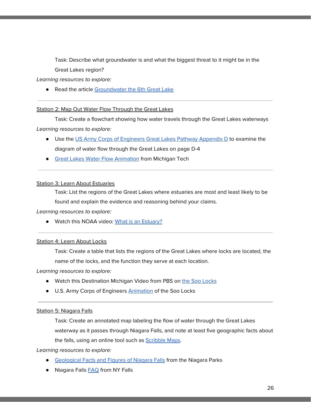Task: Describe what groundwater is and what the biggest threat to it might be in the Great Lakes region?

Learning resources to explore:

● Read the article [Groundwater](https://www.greatlakesnow.org/2018/09/groundwater-the-sixth-great-lake/) the 6th Great Lake

#### Station 2: Map Out Water Flow Through the Great Lakes

Task: Create a flowchart showing how water travels through the Great Lakes waterways Learning resources to explore:

- Use the US Army Corps of [Engineers](https://www.lre.usace.army.mil/Portals/69/docs/PPPM/PlanningandStudies/johnglennbiohydrological/BiohydroAppD1matrixocr.pdf) Great Lakes Pathway Appendix D to examine the diagram of water flow through the Great Lakes on page D-4
- **Great Lakes Water Flow [Animation](http://techalive.mtu.edu/meec/module08/GreatLakesFlow.htm) from Michigan Tech**

#### **Station 3: Learn About Estuaries**

Task: List the regions of the Great Lakes where estuaries are most and least likely to be

found and explain the evidence and reasoning behind your claims.

#### Learning resources to explore:

● Watch this NOAA video: What is an [Estuary?](https://oceanservice.noaa.gov/facts/estuary.html)

#### Station 4: Learn About Locks

Task: Create a table that lists the regions of the Great Lakes where locks are located, the

name of the locks, and the function they serve at each location.

#### Learning resources to explore:

- Watch this Destination Michigan Video from PBS on the Soo [Locks](https://www.pbs.org/video/sault-ste-marie-soo-locks-hbdm2f/)
- U.S. Army Corps of Engineers [Animation](https://www.lre.usace.army.mil/Missions/Recreation/Soo-Locks-Visitor-Center/Soo-Locks-Animation/) of the Soo Locks

#### Station 5: Niagara Falls

Task: Create an annotated map labeling the flow of water through the Great Lakes waterway as it passes through Niagara Falls, and note at least five geographic facts about the falls, using an online tool such as **[Scribble](https://www.scribblemaps.com/) Maps**.

#### Learning resources to explore:

- [Geological](https://www.niagaraparks.com/visit-niagara-parks/plan-your-visit/niagara-falls-geology-facts-figures/) Facts and Figures of Niagara Falls from the Niagara Parks
- Niagara Falls [FAQ](http://beta.nyfalls.com/niagara-falls/faq-2/) from NY Falls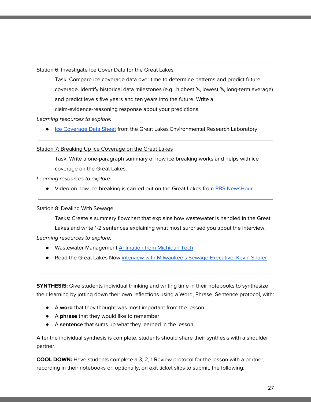#### Station 6: Investigate Ice Cover Data for the Great Lakes

Task: Compare ice coverage data over time to determine patterns and predict future coverage. Identify historical data milestones (e.g., highest %, lowest %, long-term average) and predict levels five years and ten years into the future. Write a claim-evidence-reasoning response about your predictions.

#### Learning resources to explore:

● Ice [Coverage](https://www.glerl.noaa.gov//pubs/brochures/ice/ice.pdf) Data Sheet from the Great Lakes Environmental Research Laboratory

#### Station 7: Breaking Up Ice Coverage on the Great Lakes

Task: Write a one-paragraph summary of how ice breaking works and helps with ice coverage on the Great Lakes.

#### Learning resources to explore:

● Video on how ice breaking is carried out on the Great Lakes from PBS [NewsHour](https://www.youtube.com/watch?v=mGOuZuEQoHA)

#### Station 8: Dealing With Sewage

Tasks: Create a summary flowchart that explains how wastewater is handled in the Great Lakes and write 1-2 sentences explaining what most surprised you about the interview.

#### Learning resources to explore:

- Wastewater Management [Animation](http://techalive.mtu.edu/meec/module21/title.htm) from Michigan Tech
- Read the Great Lakes Now interview with [Milwaukee's](https://www.greatlakesnow.org/2019/04/milwaukee-sewage-exec-has-an-audacious-goal-to-protect-lake-michigan/) Sewage Executive, Kevin Shafer

**SYNTHESIS:** Give students individual thinking and writing time in their notebooks to synthesize their learning by jotting down their own reflections using a Word, Phrase, Sentence protocol, with:

- A **word** that they thought was most important from the lesson
- A **phrase** that they would like to remember
- A **sentence** that sums up what they learned in the lesson

After the individual synthesis is complete, students should share their synthesis with a shoulder partner.

**COOL DOWN:** Have students complete a 3, 2, 1 Review protocol for the lesson with a partner, recording in their notebooks or, optionally, on exit ticket slips to submit, the following: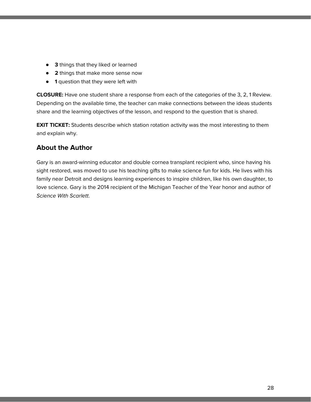- **3** things that they liked or learned
- **2** things that make more sense now
- **1** question that they were left with

**CLOSURE:** Have one student share a response from each of the categories of the 3, 2, 1 Review. Depending on the available time, the teacher can make connections between the ideas students share and the learning objectives of the lesson, and respond to the question that is shared.

**EXIT TICKET:** Students describe which station rotation activity was the most interesting to them and explain why.

#### **About the Author**

Gary is an award-winning educator and double cornea transplant recipient who, since having his sight restored, was moved to use his teaching gifts to make science fun for kids. He lives with his family near Detroit and designs learning experiences to inspire children, like his own daughter, to love science. Gary is the 2014 recipient of the Michigan Teacher of the Year honor and author of Science With Scarlett.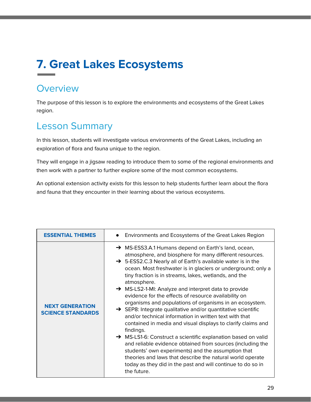## **7. Great Lakes Ecosystems**

### **Overview**

The purpose of this lesson is to explore the environments and ecosystems of the Great Lakes region.

## Lesson Summary

In this lesson, students will investigate various environments of the Great Lakes, including an exploration of flora and fauna unique to the region.

They will engage in a jigsaw reading to introduce them to some of the regional environments and then work with a partner to further explore some of the most common ecosystems.

An optional extension activity exists for this lesson to help students further learn about the flora and fauna that they encounter in their learning about the various ecosystems.

| <b>ESSENTIAL THEMES</b>                            |
|----------------------------------------------------|
| <b>NEXT GENERATION</b><br><b>SCIENCE STANDARDS</b> |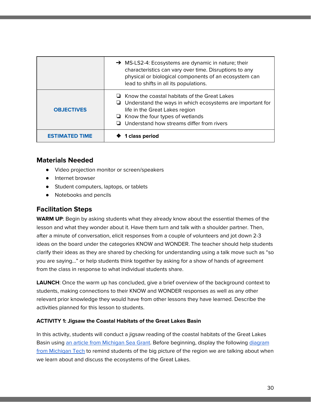|                       | → MS-LS2-4: Ecosystems are dynamic in nature; their<br>characteristics can vary over time. Disruptions to any<br>physical or biological components of an ecosystem can<br>lead to shifts in all its populations.                                        |
|-----------------------|---------------------------------------------------------------------------------------------------------------------------------------------------------------------------------------------------------------------------------------------------------|
| <b>OBJECTIVES</b>     | $\Box$ Know the coastal habitats of the Great Lakes<br>$\Box$ Understand the ways in which ecosystems are important for<br>life in the Great Lakes region<br>$\Box$ Know the four types of wetlands<br>$\Box$ Understand how streams differ from rivers |
| <b>ESTIMATED TIME</b> | 1 class period                                                                                                                                                                                                                                          |

- **●** Video projection monitor or screen/speakers
- Internet browser
- Student computers, laptops, or tablets
- Notebooks and pencils

#### **Facilitation Steps**

**WARM UP**: Begin by asking students what they already know about the essential themes of the lesson and what they wonder about it. Have them turn and talk with a shoulder partner. Then, after a minute of conversation, elicit responses from a couple of volunteers and jot down 2-3 ideas on the board under the categories KNOW and WONDER. The teacher should help students clarify their ideas as they are shared by checking for understanding using a talk move such as "so you are saying…" or help students think together by asking for a show of hands of agreement from the class in response to what individual students share.

**LAUNCH**: Once the warm up has concluded, give a brief overview of the background context to students, making connections to their KNOW and WONDER responses as well as any other relevant prior knowledge they would have from other lessons they have learned. Describe the activities planned for this lesson to students.

#### **ACTIVITY 1: Jigsaw the Coastal Habitats of the Great Lakes Basin**

In this activity, students will conduct a jigsaw reading of the coastal habitats of the Great Lakes Basin using an article from [Michigan](https://www.michiganseagrant.org/topics/ecosystems-and-habitats/coastal-habitats/) Sea Grant. Before beginning, display the following [diagram](http://techalive.mtu.edu/meec/module08/title.htm) from [Michigan](http://techalive.mtu.edu/meec/module08/title.htm) Tech to remind students of the big picture of the region we are talking about when we learn about and discuss the ecosystems of the Great Lakes.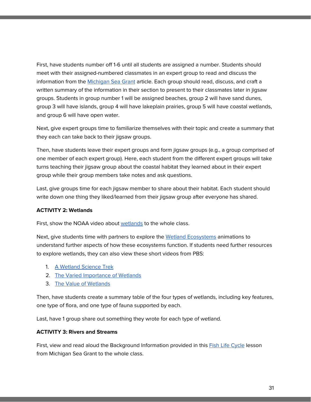First, have students number off 1-6 until all students are assigned a number. Students should meet with their assigned-numbered classmates in an expert group to read and discuss the information from the [Michigan](https://www.michiganseagrant.org/topics/ecosystems-and-habitats/coastal-habitats/) Sea Grant article. Each group should read, discuss, and craft a written summary of the information in their section to present to their classmates later in jigsaw groups. Students in group number 1 will be assigned beaches, group 2 will have sand dunes, group 3 will have islands, group 4 will have lakeplain prairies, group 5 will have coastal wetlands, and group 6 will have open water.

Next, give expert groups time to familiarize themselves with their topic and create a summary that they each can take back to their jigsaw groups.

Then, have students leave their expert groups and form jigsaw groups (e.g., a group comprised of one member of each expert group). Here, each student from the different expert groups will take turns teaching their jigsaw group about the coastal habitat they learned about in their expert group while their group members take notes and ask questions.

Last, give groups time for each jigsaw member to share about their habitat. Each student should write down one thing they liked/learned from their jigsaw group after everyone has shared.

#### **ACTIVITY 2: Wetlands**

First, show the NOAA video about [wetlands](https://oceanservice.noaa.gov/facts/wetland.html) to the whole class.

Next, give students time with partners to explore the Wetland [Ecosystems](http://techalive.mtu.edu/meec/module12/title.htm) animations to understand further aspects of how these ecosystems function. If students need further resources to explore wetlands, they can also view these short videos from PBS:

- 1. A [Wetland](https://dptv.pbslearningmedia.org/resource/idptv11.sci.life.eco.d4kwet/wetlands/) Science Trek
- 2. The Varied [Importance](https://dptv.pbslearningmedia.org/resource/nasa09.sci.life.eco.wetland/wetlands/) of Wetlands
- 3. The Value of [Wetlands](https://dptv.pbslearningmedia.org/resource/lsps07.sci.life.eco.wetlands/the-value-of-wetlands/)

Then, have students create a summary table of the four types of wetlands, including key features, one type of flora, and one type of fauna supported by each.

Last, have 1 group share out something they wrote for each type of wetland.

#### **ACTIVITY 3: Rivers and Streams**

First, view and read aloud the Background Information provided in this **Fish Life [Cycle](https://www.michiganseagrant.org/lessons/lessons/by-broad-concept/life-science/fish-life-cycle/) lesson** from Michigan Sea Grant to the whole class.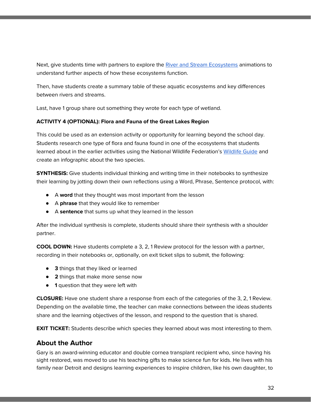Next, give students time with partners to explore the River and Stream [Ecosystems](http://techalive.mtu.edu/meec/module07/title.htm) animations to understand further aspects of how these ecosystems function.

Then, have students create a summary table of these aquatic ecosystems and key differences between rivers and streams.

Last, have 1 group share out something they wrote for each type of wetland.

#### **ACTIVITY 4 (OPTIONAL): Flora and Fauna of the Great Lakes Region**

This could be used as an extension activity or opportunity for learning beyond the school day. Students research one type of flora and fauna found in one of the ecosystems that students learned about in the earlier activities using the National Wildlife Federation's [Wildlife](https://www.nwf.org/educational-resources/wildlife-guide/) Guide and create an infographic about the two species.

**SYNTHESIS:** Give students individual thinking and writing time in their notebooks to synthesize their learning by jotting down their own reflections using a Word, Phrase, Sentence protocol, with:

- A **word** that they thought was most important from the lesson
- A **phrase** that they would like to remember
- A **sentence** that sums up what they learned in the lesson

After the individual synthesis is complete, students should share their synthesis with a shoulder partner.

**COOL DOWN:** Have students complete a 3, 2, 1 Review protocol for the lesson with a partner, recording in their notebooks or, optionally, on exit ticket slips to submit, the following:

- **3** things that they liked or learned
- **2** things that make more sense now
- **1** question that they were left with

**CLOSURE:** Have one student share a response from each of the categories of the 3, 2, 1 Review. Depending on the available time, the teacher can make connections between the ideas students share and the learning objectives of the lesson, and respond to the question that is shared.

**EXIT TICKET:** Students describe which species they learned about was most interesting to them.

#### **About the Author**

Gary is an award-winning educator and double cornea transplant recipient who, since having his sight restored, was moved to use his teaching gifts to make science fun for kids. He lives with his family near Detroit and designs learning experiences to inspire children, like his own daughter, to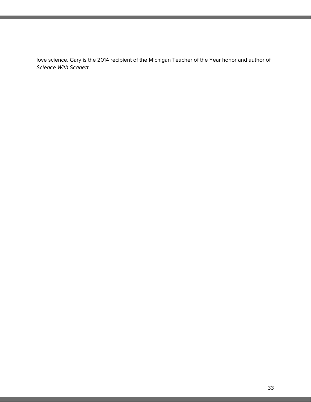love science. Gary is the 2014 recipient of the Michigan Teacher of the Year honor and author of Science With Scarlett.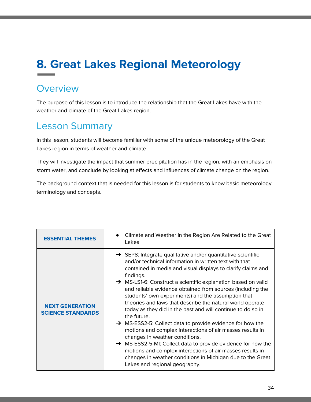## **8. Great Lakes Regional Meteorology**

### **Overview**

The purpose of this lesson is to introduce the relationship that the Great Lakes have with the weather and climate of the Great Lakes region.

## Lesson Summary

In this lesson, students will become familiar with some of the unique meteorology of the Great Lakes region in terms of weather and climate.

They will investigate the impact that summer precipitation has in the region, with an emphasis on storm water, and conclude by looking at effects and influences of climate change on the region.

The background context that is needed for this lesson is for students to know basic meteorology terminology and concepts.

| <b>ESSENTIAL THEMES</b>                            | Climate and Weather in the Region Are Related to the Great<br>Lakes                                                                                                                                                                                                                                                                                                                                                                                                                                                                                                                                                                                                                                                                                                                                                                                                                                                                                             |
|----------------------------------------------------|-----------------------------------------------------------------------------------------------------------------------------------------------------------------------------------------------------------------------------------------------------------------------------------------------------------------------------------------------------------------------------------------------------------------------------------------------------------------------------------------------------------------------------------------------------------------------------------------------------------------------------------------------------------------------------------------------------------------------------------------------------------------------------------------------------------------------------------------------------------------------------------------------------------------------------------------------------------------|
| <b>NEXT GENERATION</b><br><b>SCIENCE STANDARDS</b> | $\rightarrow$ SEP8: Integrate qualitative and/or quantitative scientific<br>and/or technical information in written text with that<br>contained in media and visual displays to clarify claims and<br>findings.<br>$\rightarrow$ MS-LS1-6: Construct a scientific explanation based on valid<br>and reliable evidence obtained from sources (including the<br>students' own experiments) and the assumption that<br>theories and laws that describe the natural world operate<br>today as they did in the past and will continue to do so in<br>the future.<br>$\rightarrow$ MS-ESS2-5: Collect data to provide evidence for how the<br>motions and complex interactions of air masses results in<br>changes in weather conditions.<br>→ MS-ESS2-5-MI: Collect data to provide evidence for how the<br>motions and complex interactions of air masses results in<br>changes in weather conditions in Michigan due to the Great<br>Lakes and regional geography. |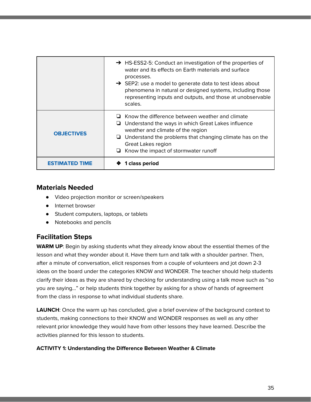|                       | $\rightarrow$ HS-ESS2-5: Conduct an investigation of the properties of<br>water and its effects on Earth materials and surface<br>processes.<br>$\rightarrow$ SEP2: use a model to generate data to test ideas about<br>phenomena in natural or designed systems, including those<br>representing inputs and outputs, and those at unobservable<br>scales. |
|-----------------------|------------------------------------------------------------------------------------------------------------------------------------------------------------------------------------------------------------------------------------------------------------------------------------------------------------------------------------------------------------|
| <b>OBJECTIVES</b>     | $\Box$ Know the difference between weather and climate<br>Understand the ways in which Great Lakes influence<br>⊔<br>weather and climate of the region<br>$\Box$ Understand the problems that changing climate has on the<br><b>Great Lakes region</b><br>$\Box$ Know the impact of stormwater runoff                                                      |
| <b>FSTIMATED TIME</b> | 1 class period                                                                                                                                                                                                                                                                                                                                             |

- **●** Video projection monitor or screen/speakers
- Internet browser
- Student computers, laptops, or tablets
- Notebooks and pencils

#### **Facilitation Steps**

**WARM UP**: Begin by asking students what they already know about the essential themes of the lesson and what they wonder about it. Have them turn and talk with a shoulder partner. Then, after a minute of conversation, elicit responses from a couple of volunteers and jot down 2-3 ideas on the board under the categories KNOW and WONDER. The teacher should help students clarify their ideas as they are shared by checking for understanding using a talk move such as "so you are saying…" or help students think together by asking for a show of hands of agreement from the class in response to what individual students share.

LAUNCH: Once the warm up has concluded, give a brief overview of the background context to students, making connections to their KNOW and WONDER responses as well as any other relevant prior knowledge they would have from other lessons they have learned. Describe the activities planned for this lesson to students.

#### **ACTIVITY 1: Understanding the Difference Between Weather & Climate**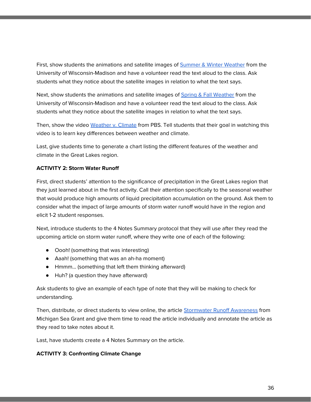First, show students the animations and satellite images of Summer & Winter [Weather](https://www.ssec.wisc.edu/sose/glwx/glwx_module3_summary.html) from the University of Wisconsin-Madison and have a volunteer read the text aloud to the class. Ask students what they notice about the satellite images in relation to what the text says.

Next, show students the animations and satellite images of Spring & Fall [Weather](https://www.ssec.wisc.edu/sose/glwx/glwx_module2_summary.html) from the University of Wisconsin-Madison and have a volunteer read the text aloud to the class. Ask students what they notice about the satellite images in relation to what the text says.

Then, show the video [Weather](https://dptv.pbslearningmedia.org/resource/ecb10.sci.ess.watcyc.weather/the-difference-between-weather-and-climate/) v. Climate from PBS. Tell students that their goal in watching this video is to learn key differences between weather and climate.

Last, give students time to generate a chart listing the different features of the weather and climate in the Great Lakes region.

#### **ACTIVITY 2: Storm Water Runoff**

First, direct students' attention to the significance of precipitation in the Great Lakes region that they just learned about in the first activity. Call their attention specifically to the seasonal weather that would produce high amounts of liquid precipitation accumulation on the ground. Ask them to consider what the impact of large amounts of storm water runoff would have in the region and elicit 1-2 student responses.

Next, introduce students to the 4 Notes Summary protocol that they will use after they read the upcoming article on storm water runoff, where they write one of each of the following:

- Oooh! (something that was interesting)
- Aaah! (something that was an ah-ha moment)
- Hmmm… (something that left them thinking afterward)
- Huh? (a question they have afterward)

Ask students to give an example of each type of note that they will be making to check for understanding.

Then, distribute, or direct students to view online, the article [Stormwater](https://www.michiganseagrant.org/wp-content/blogs.dir/1/files/2017/06/17-707-Awareness-of-Stormwater-During-Extreme-Storms-rev2-1.pdf) Runoff Awareness from Michigan Sea Grant and give them time to read the article individually and annotate the article as they read to take notes about it.

Last, have students create a 4 Notes Summary on the article.

#### **ACTIVITY 3: Confronting Climate Change**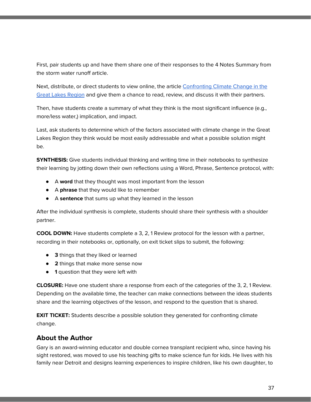First, pair students up and have them share one of their responses to the 4 Notes Summary from the storm water runoff article.

Next, distribute, or direct students to view online, the article [Confronting](http://coe.coexploration.org/~caucus/LIB/ITEMS/1485/3/glwaterresources.pdf) Climate Change in the Great Lakes [Region](http://coe.coexploration.org/~caucus/LIB/ITEMS/1485/3/glwaterresources.pdf) and give them a chance to read, review, and discuss it with their partners.

Then, have students create a summary of what they think is the most significant influence (e.g., more/less water,) implication, and impact.

Last, ask students to determine which of the factors associated with climate change in the Great Lakes Region they think would be most easily addressable and what a possible solution might be.

**SYNTHESIS:** Give students individual thinking and writing time in their notebooks to synthesize their learning by jotting down their own reflections using a Word, Phrase, Sentence protocol, with:

- A **word** that they thought was most important from the lesson
- A **phrase** that they would like to remember
- A **sentence** that sums up what they learned in the lesson

After the individual synthesis is complete, students should share their synthesis with a shoulder partner.

**COOL DOWN:** Have students complete a 3, 2, 1 Review protocol for the lesson with a partner, recording in their notebooks or, optionally, on exit ticket slips to submit, the following:

- **3** things that they liked or learned
- **2** things that make more sense now
- **1** question that they were left with

**CLOSURE:** Have one student share a response from each of the categories of the 3, 2, 1 Review. Depending on the available time, the teacher can make connections between the ideas students share and the learning objectives of the lesson, and respond to the question that is shared.

**EXIT TICKET:** Students describe a possible solution they generated for confronting climate change.

# **About the Author**

Gary is an award-winning educator and double cornea transplant recipient who, since having his sight restored, was moved to use his teaching gifts to make science fun for kids. He lives with his family near Detroit and designs learning experiences to inspire children, like his own daughter, to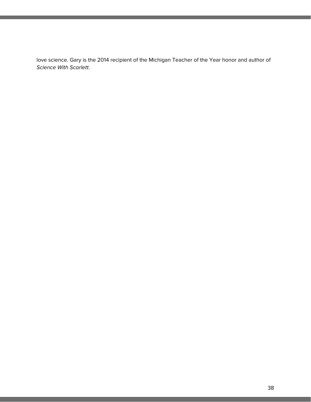love science. Gary is the 2014 recipient of the Michigan Teacher of the Year honor and author of Science With Scarlett.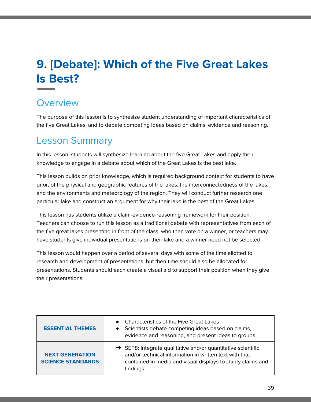# **9. [Debate]: Which of the Five Great Lakes Is Best?**

# **Overview**

The purpose of this lesson is to synthesize student understanding of important characteristics of the five Great Lakes, and to debate competing ideas based on claims, evidence and reasoning.

# Lesson Summary

In this lesson, students will synthesize learning about the five Great Lakes and apply their knowledge to engage in a debate about which of the Great Lakes is the best lake.

This lesson builds on prior knowledge, which is required background context for students to have prior, of the physical and geographic features of the lakes, the interconnectedness of the lakes, and the environments and meteorology of the region. They will conduct further research one particular lake and construct an argument for why their lake is the best of the Great Lakes.

This lesson has students utilize a claim-evidence-reasoning framework for their position. Teachers can choose to run this lesson as a traditional debate with representatives from each of the five great lakes presenting in front of the class, who then vote on a winner, or teachers may have students give individual presentations on their lake and a winner need not be selected.

This lesson would happen over a period of several days with some of the time allotted to research and development of presentations, but then time should also be allocated for presentations. Students should each create a visual aid to support their position when they give their presentations.

| <b>ESSENTIAL THEMES</b>                            | <b>Characteristics of the Five Great Lakes</b><br>• Scientists debate competing ideas based on claims,<br>evidence and reasoning, and present ideas to groups                                                   |
|----------------------------------------------------|-----------------------------------------------------------------------------------------------------------------------------------------------------------------------------------------------------------------|
| <b>NEXT GENERATION</b><br><b>SCIENCE STANDARDS</b> | $\rightarrow$ SEP8: Integrate qualitative and/or quantitative scientific<br>and/or technical information in written text with that<br>contained in media and visual displays to clarify claims and<br>findings. |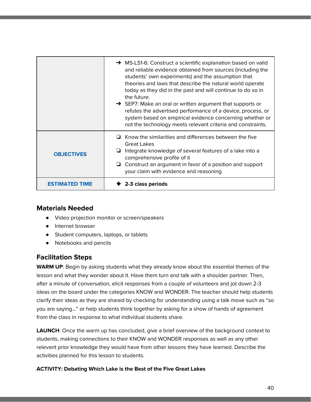|                       | $\rightarrow$ MS-LS1-6: Construct a scientific explanation based on valid<br>and reliable evidence obtained from sources (including the<br>students' own experiments) and the assumption that<br>theories and laws that describe the natural world operate<br>today as they did in the past and will continue to do so in<br>the future.<br>$\rightarrow$ SEP7: Make an oral or written argument that supports or<br>refutes the advertised performance of a device, process, or<br>system based on empirical evidence concerning whether or<br>not the technology meets relevant criteria and constraints. |
|-----------------------|-------------------------------------------------------------------------------------------------------------------------------------------------------------------------------------------------------------------------------------------------------------------------------------------------------------------------------------------------------------------------------------------------------------------------------------------------------------------------------------------------------------------------------------------------------------------------------------------------------------|
| <b>OBJECTIVES</b>     | Know the similarities and differences between the five<br><b>Great Lakes</b><br>Integrate knowledge of several features of a lake into a<br>comprehensive profile of it<br>$\Box$ Construct an argument in favor of a position and support<br>your claim with evidence and reasoning                                                                                                                                                                                                                                                                                                                        |
| <b>ESTIMATED TIME</b> | 2-3 class periods                                                                                                                                                                                                                                                                                                                                                                                                                                                                                                                                                                                           |

### **Materials Needed**

- **●** Video projection monitor or screen/speakers
- Internet browser
- Student computers, laptops, or tablets
- Notebooks and pencils

## **Facilitation Steps**

**WARM UP**: Begin by asking students what they already know about the essential themes of the lesson and what they wonder about it. Have them turn and talk with a shoulder partner. Then, after a minute of conversation, elicit responses from a couple of volunteers and jot down 2-3 ideas on the board under the categories KNOW and WONDER. The teacher should help students clarify their ideas as they are shared by checking for understanding using a talk move such as "so you are saying…" or help students think together by asking for a show of hands of agreement from the class in response to what individual students share.

**LAUNCH**: Once the warm up has concluded, give a brief overview of the background context to students, making connections to their KNOW and WONDER responses as well as any other relevant prior knowledge they would have from other lessons they have learned. Describe the activities planned for this lesson to students.

### **ACTIVITY: Debating Which Lake is the Best of the Five Great Lakes**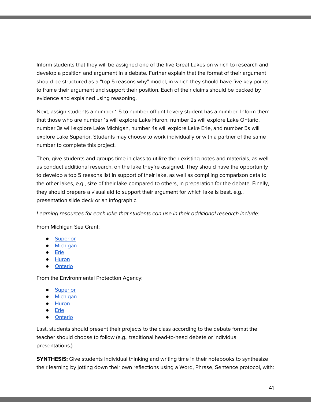Inform students that they will be assigned one of the five Great Lakes on which to research and develop a position and argument in a debate. Further explain that the format of their argument should be structured as a "top 5 reasons why" model, in which they should have five key points to frame their argument and support their position. Each of their claims should be backed by evidence and explained using reasoning.

Next, assign students a number 1-5 to number off until every student has a number. Inform them that those who are number 1s will explore Lake Huron, number 2s will explore Lake Ontario, number 3s will explore Lake Michigan, number 4s will explore Lake Erie, and number 5s will explore Lake Superior. Students may choose to work individually or with a partner of the same number to complete this project.

Then, give students and groups time in class to utilize their existing notes and materials, as well as conduct additional research, on the lake they're assigned. They should have the opportunity to develop a top 5 reasons list in support of their lake, as well as compiling comparison data to the other lakes, e.g., size of their lake compared to others, in preparation for the debate. Finally, they should prepare a visual aid to support their argument for which lake is best, e.g., presentation slide deck or an infographic.

Learning resources for each lake that students can use in their additional research include:

From Michigan Sea Grant:

- **•** [Superior](https://www.michiganseagrant.org/topics/great-lakes-fast-facts/lake-superior/)
- [Michigan](https://www.michiganseagrant.org/topics/great-lakes-fast-facts/lake-michigan/)
- [Erie](https://www.michiganseagrant.org/topics/great-lakes-fast-facts/lake-erie/)
- [Huron](https://www.michiganseagrant.org/topics/great-lakes-fast-facts/lake-huron/)
- [Ontario](https://www.michiganseagrant.org/topics/great-lakes-fast-facts/lake-ontario/)

From the Environmental Protection Agency:

- [Superior](https://www.epa.gov/greatlakes/lake-superior)
- [Michigan](https://www.epa.gov/greatlakes/lake-michigan-1)
- [Huron](https://www.epa.gov/greatlakes/lake-huron)
- [Erie](https://www.epa.gov/greatlakes/lake-erie)
- **[Ontario](https://www.epa.gov/greatlakes/lake-ontario)**

Last, students should present their projects to the class according to the debate format the teacher should choose to follow (e.g., traditional head-to-head debate or individual presentations.)

**SYNTHESIS:** Give students individual thinking and writing time in their notebooks to synthesize their learning by jotting down their own reflections using a Word, Phrase, Sentence protocol, with: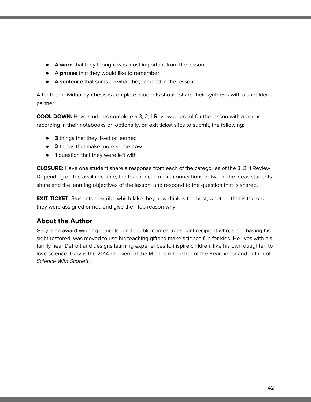- A **word** that they thought was most important from the lesson
- A **phrase** that they would like to remember
- A **sentence** that sums up what they learned in the lesson

After the individual synthesis is complete, students should share their synthesis with a shoulder partner.

**COOL DOWN:** Have students complete a 3, 2, 1 Review protocol for the lesson with a partner, recording in their notebooks or, optionally, on exit ticket slips to submit, the following:

- **3** things that they liked or learned
- **2** things that make more sense now
- **1** question that they were left with

**CLOSURE:** Have one student share a response from each of the categories of the 3, 2, 1 Review. Depending on the available time, the teacher can make connections between the ideas students share and the learning objectives of the lesson, and respond to the question that is shared.

**EXIT TICKET:** Students describe which lake they now think is the best, whether that is the one they were assigned or not, and give their top reason why.

# **About the Author**

Gary is an award-winning educator and double cornea transplant recipient who, since having his sight restored, was moved to use his teaching gifts to make science fun for kids. He lives with his family near Detroit and designs learning experiences to inspire children, like his own daughter, to love science. Gary is the 2014 recipient of the Michigan Teacher of the Year honor and author of Science With Scarlett.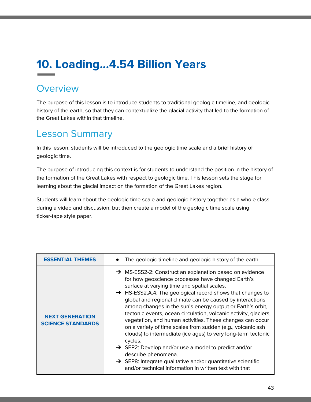# **10. Loading...4.54 Billion Years**

# **Overview**

The purpose of this lesson is to introduce students to traditional geologic timeline, and geologic history of the earth, so that they can contextualize the glacial activity that led to the formation of the Great Lakes within that timeline.

# Lesson Summary

In this lesson, students will be introduced to the geologic time scale and a brief history of geologic time.

The purpose of introducing this context is for students to understand the position in the history of the formation of the Great Lakes with respect to geologic time. This lesson sets the stage for learning about the glacial impact on the formation of the Great Lakes region.

Students will learn about the geologic time scale and geologic history together as a whole class during a video and discussion, but then create a model of the geologic time scale using ticker-tape style paper.

| <b>ESSENTIAL THEMES</b>                            | The geologic timeline and geologic history of the earth                                                                                                                                                                                                                                                                                                                                                                                                                                                                                                                                                                                                                                                                                                                                                                                                                       |
|----------------------------------------------------|-------------------------------------------------------------------------------------------------------------------------------------------------------------------------------------------------------------------------------------------------------------------------------------------------------------------------------------------------------------------------------------------------------------------------------------------------------------------------------------------------------------------------------------------------------------------------------------------------------------------------------------------------------------------------------------------------------------------------------------------------------------------------------------------------------------------------------------------------------------------------------|
| <b>NEXT GENERATION</b><br><b>SCIENCE STANDARDS</b> | → MS-ESS2-2: Construct an explanation based on evidence<br>for how geoscience processes have changed Earth's<br>surface at varying time and spatial scales.<br>$\rightarrow$ HS-ESS2.A.4: The geological record shows that changes to<br>global and regional climate can be caused by interactions<br>among changes in the sun's energy output or Earth's orbit,<br>tectonic events, ocean circulation, volcanic activity, glaciers,<br>vegetation, and human activities. These changes can occur<br>on a variety of time scales from sudden (e.g., volcanic ash<br>clouds) to intermediate (ice ages) to very long-term tectonic<br>cycles.<br>$\rightarrow$ SEP2: Develop and/or use a model to predict and/or<br>describe phenomena.<br>$\rightarrow$ SEP8: Integrate qualitative and/or quantitative scientific<br>and/or technical information in written text with that |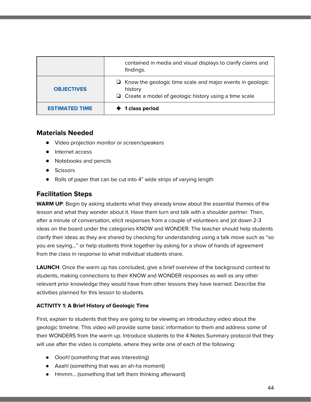|                       | contained in media and visual displays to clarify claims and<br>findings.                                                                   |
|-----------------------|---------------------------------------------------------------------------------------------------------------------------------------------|
| <b>OBJECTIVES</b>     | $\Box$ Know the geologic time scale and major events in geologic<br>history<br>$\Box$ Create a model of geologic history using a time scale |
| <b>ESTIMATED TIME</b> | ♦ 1 class period                                                                                                                            |

### **Materials Needed**

- **●** Video projection monitor or screen/speakers
- Internet access
- Notebooks and pencils
- Scissors
- Rolls of paper that can be cut into 4" wide strips of varying length

## **Facilitation Steps**

**WARM UP**: Begin by asking students what they already know about the essential themes of the lesson and what they wonder about it. Have them turn and talk with a shoulder partner. Then, after a minute of conversation, elicit responses from a couple of volunteers and jot down 2-3 ideas on the board under the categories KNOW and WONDER. The teacher should help students clarify their ideas as they are shared by checking for understanding using a talk move such as "so you are saying…" or help students think together by asking for a show of hands of agreement from the class in response to what individual students share.

**LAUNCH**: Once the warm up has concluded, give a brief overview of the background context to students, making connections to their KNOW and WONDER responses as well as any other relevant prior knowledge they would have from other lessons they have learned. Describe the activities planned for this lesson to students.

### **ACTIVITY 1: A Brief History of Geologic Time**

First, explain to students that they are going to be viewing an introductory video about the geologic timeline. This video will provide some basic information to them and address some of their WONDERS from the warm up. Introduce students to the 4 Notes Summary protocol that they will use after the video is complete, where they write one of each of the following:

- Oooh! (something that was interesting)
- Aaah! (something that was an ah-ha moment)
- Hmmm… (something that left them thinking afterward)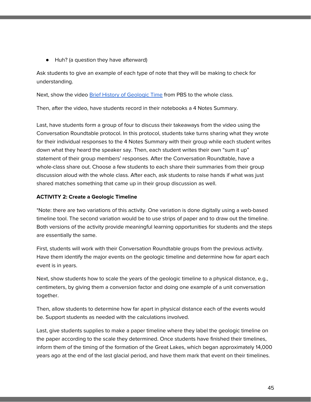● Huh? (a question they have afterward)

Ask students to give an example of each type of note that they will be making to check for understanding.

Next, show the video Brief History of [Geologic](https://video.dptv.org/video/a-brief-history-of-geologic-time-jaljq2/) Time from PBS to the whole class.

Then, after the video, have students record in their notebooks a 4 Notes Summary.

Last, have students form a group of four to discuss their takeaways from the video using the Conversation Roundtable protocol. In this protocol, students take turns sharing what they wrote for their individual responses to the 4 Notes Summary with their group while each student writes down what they heard the speaker say. Then, each student writes their own "sum it up" statement of their group members' responses. After the Conversation Roundtable, have a whole-class share out. Choose a few students to each share their summaries from their group discussion aloud with the whole class. After each, ask students to raise hands if what was just shared matches something that came up in their group discussion as well.

#### **ACTIVITY 2: Create a Geologic Timeline**

\*Note: there are two variations of this activity. One variation is done digitally using a web-based timeline tool. The second variation would be to use strips of paper and to draw out the timeline. Both versions of the activity provide meaningful learning opportunities for students and the steps are essentially the same.

First, students will work with their Conversation Roundtable groups from the previous activity. Have them identify the major events on the geologic timeline and determine how far apart each event is in years.

Next, show students how to scale the years of the geologic timeline to a physical distance, e.g., centimeters, by giving them a conversion factor and doing one example of a unit conversation together.

Then, allow students to determine how far apart in physical distance each of the events would be. Support students as needed with the calculations involved.

Last, give students supplies to make a paper timeline where they label the geologic timeline on the paper according to the scale they determined. Once students have finished their timelines, inform them of the timing of the formation of the Great Lakes, which began approximately 14,000 years ago at the end of the last glacial period, and have them mark that event on their timelines.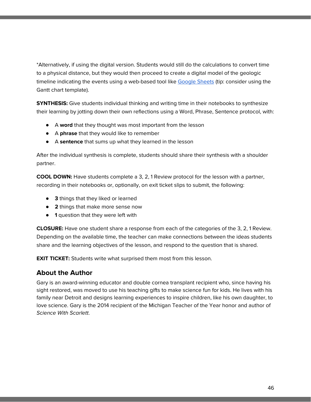\*Alternatively, if using the digital version. Students would still do the calculations to convert time to a physical distance, but they would then proceed to create a digital model of the geologic timeline indicating the events using a web-based tool like [Google](https://www.google.com/sheets) Sheets (tip: consider using the Gantt chart template).

**SYNTHESIS:** Give students individual thinking and writing time in their notebooks to synthesize their learning by jotting down their own reflections using a Word, Phrase, Sentence protocol, with:

- A **word** that they thought was most important from the lesson
- A **phrase** that they would like to remember
- A **sentence** that sums up what they learned in the lesson

After the individual synthesis is complete, students should share their synthesis with a shoulder partner.

**COOL DOWN:** Have students complete a 3, 2, 1 Review protocol for the lesson with a partner, recording in their notebooks or, optionally, on exit ticket slips to submit, the following:

- **3** things that they liked or learned
- **2** things that make more sense now
- **1** question that they were left with

**CLOSURE:** Have one student share a response from each of the categories of the 3, 2, 1 Review. Depending on the available time, the teacher can make connections between the ideas students share and the learning objectives of the lesson, and respond to the question that is shared.

**EXIT TICKET:** Students write what surprised them most from this lesson.

## **About the Author**

Gary is an award-winning educator and double cornea transplant recipient who, since having his sight restored, was moved to use his teaching gifts to make science fun for kids. He lives with his family near Detroit and designs learning experiences to inspire children, like his own daughter, to love science. Gary is the 2014 recipient of the Michigan Teacher of the Year honor and author of Science With Scarlett.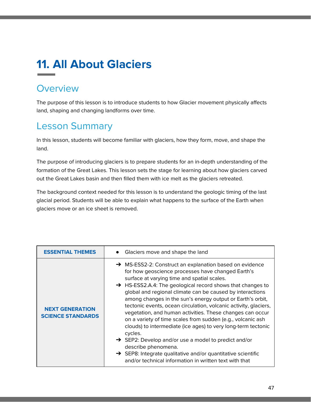# **11. All About Glaciers**

# **Overview**

The purpose of this lesson is to introduce students to how Glacier movement physically affects land, shaping and changing landforms over time.

# Lesson Summary

In this lesson, students will become familiar with glaciers, how they form, move, and shape the land.

The purpose of introducing glaciers is to prepare students for an in-depth understanding of the formation of the Great Lakes. This lesson sets the stage for learning about how glaciers carved out the Great Lakes basin and then filled them with ice melt as the glaciers retreated.

The background context needed for this lesson is to understand the geologic timing of the last glacial period. Students will be able to explain what happens to the surface of the Earth when glaciers move or an ice sheet is removed.

| <b>ESSENTIAL THEMES</b>                            | • Glaciers move and shape the land                                                                                                                                                                                                                                                                                                                                                                                                                                                                                                                                                                                                                                                                                                                                                                                                                                            |
|----------------------------------------------------|-------------------------------------------------------------------------------------------------------------------------------------------------------------------------------------------------------------------------------------------------------------------------------------------------------------------------------------------------------------------------------------------------------------------------------------------------------------------------------------------------------------------------------------------------------------------------------------------------------------------------------------------------------------------------------------------------------------------------------------------------------------------------------------------------------------------------------------------------------------------------------|
| <b>NEXT GENERATION</b><br><b>SCIENCE STANDARDS</b> | → MS-ESS2-2: Construct an explanation based on evidence<br>for how geoscience processes have changed Earth's<br>surface at varying time and spatial scales.<br>$\rightarrow$ HS-ESS2.A.4: The geological record shows that changes to<br>global and regional climate can be caused by interactions<br>among changes in the sun's energy output or Earth's orbit,<br>tectonic events, ocean circulation, volcanic activity, glaciers,<br>vegetation, and human activities. These changes can occur<br>on a variety of time scales from sudden (e.g., volcanic ash<br>clouds) to intermediate (ice ages) to very long-term tectonic<br>cycles.<br>$\rightarrow$ SEP2: Develop and/or use a model to predict and/or<br>describe phenomena.<br>$\rightarrow$ SEP8: Integrate qualitative and/or quantitative scientific<br>and/or technical information in written text with that |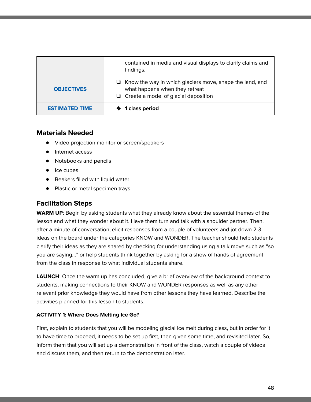|                       | contained in media and visual displays to clarify claims and<br>findings.                                                                        |
|-----------------------|--------------------------------------------------------------------------------------------------------------------------------------------------|
| <b>OBJECTIVES</b>     | $\Box$ Know the way in which glaciers move, shape the land, and<br>what happens when they retreat<br>$\Box$ Create a model of glacial deposition |
| <b>ESTIMATED TIME</b> | 1 class period                                                                                                                                   |

### **Materials Needed**

- **●** Video projection monitor or screen/speakers
- Internet access
- Notebooks and pencils
- Ice cubes
- Beakers filled with liquid water
- Plastic or metal specimen trays

# **Facilitation Steps**

**WARM UP**: Begin by asking students what they already know about the essential themes of the lesson and what they wonder about it. Have them turn and talk with a shoulder partner. Then, after a minute of conversation, elicit responses from a couple of volunteers and jot down 2-3 ideas on the board under the categories KNOW and WONDER. The teacher should help students clarify their ideas as they are shared by checking for understanding using a talk move such as "so you are saying…" or help students think together by asking for a show of hands of agreement from the class in response to what individual students share.

**LAUNCH**: Once the warm up has concluded, give a brief overview of the background context to students, making connections to their KNOW and WONDER responses as well as any other relevant prior knowledge they would have from other lessons they have learned. Describe the activities planned for this lesson to students.

### **ACTIVITY 1: Where Does Melting Ice Go?**

First, explain to students that you will be modeling glacial ice melt during class, but in order for it to have time to proceed, it needs to be set up first, then given some time, and revisited later. So, inform them that you will set up a demonstration in front of the class, watch a couple of videos and discuss them, and then return to the demonstration later.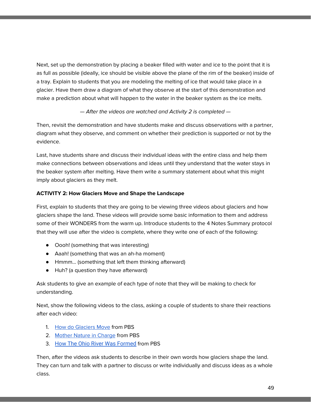Next, set up the demonstration by placing a beaker filled with water and ice to the point that it is as full as possible (ideally, ice should be visible above the plane of the rim of the beaker) inside of a tray. Explain to students that you are modeling the melting of ice that would take place in a glacier. Have them draw a diagram of what they observe at the start of this demonstration and make a prediction about what will happen to the water in the beaker system as the ice melts.

### — After the videos are watched and Activity 2 is completed —

Then, revisit the demonstration and have students make and discuss observations with a partner, diagram what they observe, and comment on whether their prediction is supported or not by the evidence.

Last, have students share and discuss their individual ideas with the entire class and help them make connections between observations and ideas until they understand that the water stays in the beaker system after melting. Have them write a summary statement about what this might imply about glaciers as they melt.

### **ACTIVITY 2: How Glaciers Move and Shape the Landscape**

First, explain to students that they are going to be viewing three videos about glaciers and how glaciers shape the land. These videos will provide some basic information to them and address some of their WONDERS from the warm up. Introduce students to the 4 Notes Summary protocol that they will use after the video is complete, where they write one of each of the following:

- Oooh! (something that was interesting)
- Aaah! (something that was an ah-ha moment)
- Hmmm… (something that left them thinking afterward)
- Huh? (a question they have afterward)

Ask students to give an example of each type of note that they will be making to check for understanding.

Next, show the following videos to the class, asking a couple of students to share their reactions after each video:

- 1. How do [Glaciers](https://video.dptv.org/video/how-do-glaciars-move-4cieb2/) Move from PBS
- 2. Mother Nature in [Charge](https://dptv.pbslearningmedia.org/resource/6c24deee-2a5d-48d9-8408-3b2d357d461b/mother-nature-in-charge-geography-of-devils-lake-basin/) from PBS
- 3. How The Ohio River Was [Formed](https://dptv.pbslearningmedia.org/resource/ket08.sci.ess.earthsys.ohioriver/how-the-ohio-river-was-formed/) from PBS

Then, after the videos ask students to describe in their own words how glaciers shape the land. They can turn and talk with a partner to discuss or write individually and discuss ideas as a whole class.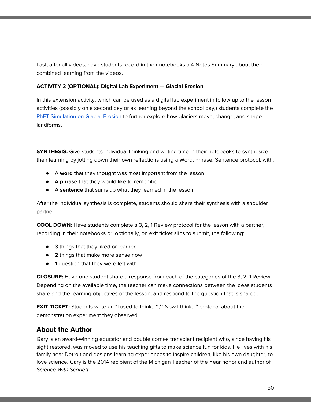Last, after all videos, have students record in their notebooks a 4 Notes Summary about their combined learning from the videos.

#### **ACTIVITY 3 (OPTIONAL): Digital Lab Experiment — Glacial Erosion**

In this extension activity, which can be used as a digital lab experiment in follow up to the lesson activities (possibly on a second day or as learning beyond the school day,) students complete the PhET [Simulation](https://phet.colorado.edu/en/simulation/glaciers) on Glacial Erosion to further explore how glaciers move, change, and shape landforms.

**SYNTHESIS:** Give students individual thinking and writing time in their notebooks to synthesize their learning by jotting down their own reflections using a Word, Phrase, Sentence protocol, with:

- A **word** that they thought was most important from the lesson
- A **phrase** that they would like to remember
- A **sentence** that sums up what they learned in the lesson

After the individual synthesis is complete, students should share their synthesis with a shoulder partner.

**COOL DOWN:** Have students complete a 3, 2, 1 Review protocol for the lesson with a partner, recording in their notebooks or, optionally, on exit ticket slips to submit, the following:

- **3** things that they liked or learned
- **2** things that make more sense now
- **1** question that they were left with

**CLOSURE:** Have one student share a response from each of the categories of the 3, 2, 1 Review. Depending on the available time, the teacher can make connections between the ideas students share and the learning objectives of the lesson, and respond to the question that is shared.

**EXIT TICKET:** Students write an "I used to think..." / "Now I think..." protocol about the demonstration experiment they observed.

## **About the Author**

Gary is an award-winning educator and double cornea transplant recipient who, since having his sight restored, was moved to use his teaching gifts to make science fun for kids. He lives with his family near Detroit and designs learning experiences to inspire children, like his own daughter, to love science. Gary is the 2014 recipient of the Michigan Teacher of the Year honor and author of Science With Scarlett.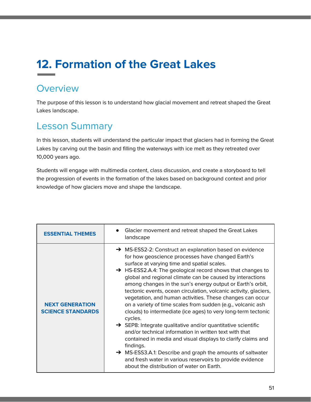# **12. Formation of the Great Lakes**

# **Overview**

The purpose of this lesson is to understand how glacial movement and retreat shaped the Great Lakes landscape.

# Lesson Summary

In this lesson, students will understand the particular impact that glaciers had in forming the Great Lakes by carving out the basin and filling the waterways with ice melt as they retreated over 10,000 years ago.

Students will engage with multimedia content, class discussion, and create a storyboard to tell the progression of events in the formation of the lakes based on background context and prior knowledge of how glaciers move and shape the landscape.

| <b>ESSENTIAL THEMES</b>                            | Glacier movement and retreat shaped the Great Lakes<br>landscape                                                                                                                                                                                                                                                                                                                                                                                                                                                                                                                                                                                                                                                                                                                                                                                                                                                                                                                                                            |
|----------------------------------------------------|-----------------------------------------------------------------------------------------------------------------------------------------------------------------------------------------------------------------------------------------------------------------------------------------------------------------------------------------------------------------------------------------------------------------------------------------------------------------------------------------------------------------------------------------------------------------------------------------------------------------------------------------------------------------------------------------------------------------------------------------------------------------------------------------------------------------------------------------------------------------------------------------------------------------------------------------------------------------------------------------------------------------------------|
| <b>NEXT GENERATION</b><br><b>SCIENCE STANDARDS</b> | → MS-ESS2-2: Construct an explanation based on evidence<br>for how geoscience processes have changed Earth's<br>surface at varying time and spatial scales.<br>→ HS-ESS2.A.4: The geological record shows that changes to<br>global and regional climate can be caused by interactions<br>among changes in the sun's energy output or Earth's orbit,<br>tectonic events, ocean circulation, volcanic activity, glaciers,<br>vegetation, and human activities. These changes can occur<br>on a variety of time scales from sudden (e.g., volcanic ash<br>clouds) to intermediate (ice ages) to very long-term tectonic<br>cycles.<br>$\rightarrow$ SEP8: Integrate qualitative and/or quantitative scientific<br>and/or technical information in written text with that<br>contained in media and visual displays to clarify claims and<br>findings.<br>→ MS-ESS3.A.1: Describe and graph the amounts of saltwater<br>and fresh water in various reservoirs to provide evidence<br>about the distribution of water on Earth. |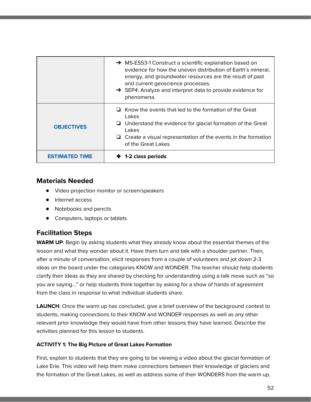|                   | $\rightarrow$ MS-ESS3-1 Construct a scientific explanation based on<br>evidence for how the uneven distribution of Earth's mineral,<br>energy, and groundwater resources are the result of past<br>and current geoscience processes.<br>$\rightarrow$ SEP4: Analyze and interpret data to provide evidence for<br>phenomena. |
|-------------------|------------------------------------------------------------------------------------------------------------------------------------------------------------------------------------------------------------------------------------------------------------------------------------------------------------------------------|
| <b>OBJECTIVES</b> | $\Box$ Know the events that led to the formation of the Great<br>Lakes<br>$\Box$ Understand the evidence for glacial formation of the Great<br>Lakes<br>$\Box$ Create a visual representation of the events in the formation<br>of the Great Lakes                                                                           |
| ESTIMATED         | 1-2 class periods                                                                                                                                                                                                                                                                                                            |

### **Materials Needed**

- **●** Video projection monitor or screen/speakers
- Internet access
- Notebooks and pencils
- Computers, laptops or tablets

## **Facilitation Steps**

**WARM UP**: Begin by asking students what they already know about the essential themes of the lesson and what they wonder about it. Have them turn and talk with a shoulder partner. Then, after a minute of conversation, elicit responses from a couple of volunteers and jot down 2-3 ideas on the board under the categories KNOW and WONDER. The teacher should help students clarify their ideas as they are shared by checking for understanding using a talk move such as "so you are saying…" or help students think together by asking for a show of hands of agreement from the class in response to what individual students share.

**LAUNCH**: Once the warm up has concluded, give a brief overview of the background context to students, making connections to their KNOW and WONDER responses as well as any other relevant prior knowledge they would have from other lessons they have learned. Describe the activities planned for this lesson to students.

### **ACTIVITY 1: The Big Picture of Great Lakes Formation**

First, explain to students that they are going to be viewing a video about the glacial formation of Lake Erie. This video will help them make connections between their knowledge of glaciers and the formation of the Great Lakes, as well as address some of their WONDERS from the warm up.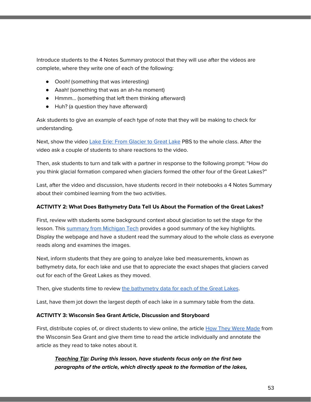Introduce students to the 4 Notes Summary protocol that they will use after the videos are complete, where they write one of each of the following:

- Oooh! (something that was interesting)
- Aaah! (something that was an ah-ha moment)
- Hmmm… (something that left them thinking afterward)
- Huh? (a question they have afterward)

Ask students to give an example of each type of note that they will be making to check for understanding.

Next, show the video Lake Erie: From [Glacier](https://www.pbs.org/video/wptd-our-ohio-glaciers-great-lake/) to Great Lake PBS to the whole class. After the video ask a couple of students to share reactions to the video.

Then, ask students to turn and talk with a partner in response to the following prompt: "How do you think glacial formation compared when glaciers formed the other four of the Great Lakes?"

Last, after the video and discussion, have students record in their notebooks a 4 Notes Summary about their combined learning from the two activities.

### **ACTIVITY 2: What Does Bathymetry Data Tell Us About the Formation of the Great Lakes?**

First, review with students some background context about glaciation to set the stage for the lesson. This [summary](http://techalive.mtu.edu/meec/module08/GreatLakesPastandPresent.htm) from Michigan Tech provides a good summary of the key highlights. Display the webpage and have a student read the summary aloud to the whole class as everyone reads along and examines the images.

Next, inform students that they are going to analyze lake bed measurements, known as bathymetry data, for each lake and use that to appreciate the exact shapes that glaciers carved out for each of the Great Lakes as they moved.

Then, give students time to review the [bathymetry](https://www.ngdc.noaa.gov/mgg/greatlakes/greatlakes.html) data for each of the Great Lakes.

Last, have them jot down the largest depth of each lake in a summary table from the data.

### **ACTIVITY 3: Wisconsin Sea Grant Article, Discussion and Storyboard**

First, distribute copies of, or direct students to view online, the article **How They Were [Made](https://www.seagrant.wisc.edu/resources/the-formation-of-the-great-lakes/how-they-were-made/) from** the Wisconsin Sea Grant and give them time to read the article individually and annotate the article as they read to take notes about it.

**Teaching Tip: During this lesson, have students focus only on the first two paragraphs of the article, which directly speak to the formation of the lakes,**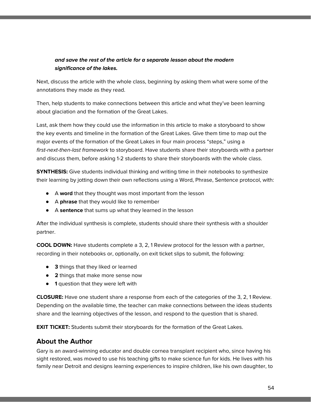### **and save the rest of the article for a separate lesson about the modern significance of the lakes.**

Next, discuss the article with the whole class, beginning by asking them what were some of the annotations they made as they read.

Then, help students to make connections between this article and what they've been learning about glaciation and the formation of the Great Lakes.

Last, ask them how they could use the information in this article to make a storyboard to show the key events and timeline in the formation of the Great Lakes. Give them time to map out the major events of the formation of the Great Lakes in four main process "steps," using a first-next-then-last framework to storyboard. Have students share their storyboards with a partner and discuss them, before asking 1-2 students to share their storyboards with the whole class.

**SYNTHESIS:** Give students individual thinking and writing time in their notebooks to synthesize their learning by jotting down their own reflections using a Word, Phrase, Sentence protocol, with:

- A **word** that they thought was most important from the lesson
- A **phrase** that they would like to remember
- A **sentence** that sums up what they learned in the lesson

After the individual synthesis is complete, students should share their synthesis with a shoulder partner.

**COOL DOWN:** Have students complete a 3, 2, 1 Review protocol for the lesson with a partner, recording in their notebooks or, optionally, on exit ticket slips to submit, the following:

- **3** things that they liked or learned
- **2** things that make more sense now
- **1** question that they were left with

**CLOSURE:** Have one student share a response from each of the categories of the 3, 2, 1 Review. Depending on the available time, the teacher can make connections between the ideas students share and the learning objectives of the lesson, and respond to the question that is shared.

**EXIT TICKET:** Students submit their storyboards for the formation of the Great Lakes.

## **About the Author**

Gary is an award-winning educator and double cornea transplant recipient who, since having his sight restored, was moved to use his teaching gifts to make science fun for kids. He lives with his family near Detroit and designs learning experiences to inspire children, like his own daughter, to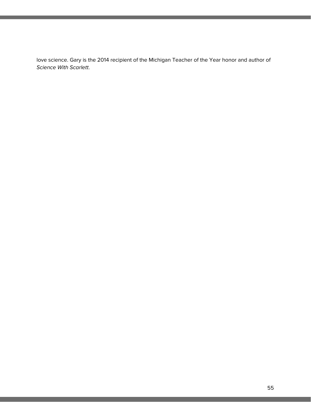love science. Gary is the 2014 recipient of the Michigan Teacher of the Year honor and author of Science With Scarlett.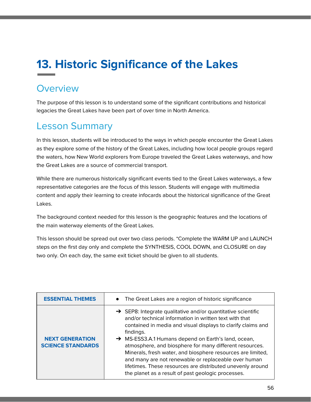# **13. Historic Significance of the Lakes**

# **Overview**

The purpose of this lesson is to understand some of the significant contributions and historical legacies the Great Lakes have been part of over time in North America.

# Lesson Summary

In this lesson, students will be introduced to the ways in which people encounter the Great Lakes as they explore some of the history of the Great Lakes, including how local people groups regard the waters, how New World explorers from Europe traveled the Great Lakes waterways, and how the Great Lakes are a source of commercial transport.

While there are numerous historically significant events tied to the Great Lakes waterways, a few representative categories are the focus of this lesson. Students will engage with multimedia content and apply their learning to create infocards about the historical significance of the Great Lakes.

The background context needed for this lesson is the geographic features and the locations of the main waterway elements of the Great Lakes.

This lesson should be spread out over two class periods. \*Complete the WARM UP and LAUNCH steps on the first day only and complete the SYNTHESIS, COOL DOWN, and CLOSURE on day two only. On each day, the same exit ticket should be given to all students.

| <b>ESSENTIAL THEMES</b>                            | • The Great Lakes are a region of historic significance                                                                                                                                                                                                                                                                                                                                                                                                                                                                                                                      |
|----------------------------------------------------|------------------------------------------------------------------------------------------------------------------------------------------------------------------------------------------------------------------------------------------------------------------------------------------------------------------------------------------------------------------------------------------------------------------------------------------------------------------------------------------------------------------------------------------------------------------------------|
| <b>NEXT GENERATION</b><br><b>SCIENCE STANDARDS</b> | $\rightarrow$ SEP8: Integrate qualitative and/or quantitative scientific<br>and/or technical information in written text with that<br>contained in media and visual displays to clarify claims and<br>findings.<br>→ MS-ESS3.A.1 Humans depend on Earth's land, ocean,<br>atmosphere, and biosphere for many different resources.<br>Minerals, fresh water, and biosphere resources are limited,<br>and many are not renewable or replaceable over human<br>lifetimes. These resources are distributed unevenly around<br>the planet as a result of past geologic processes. |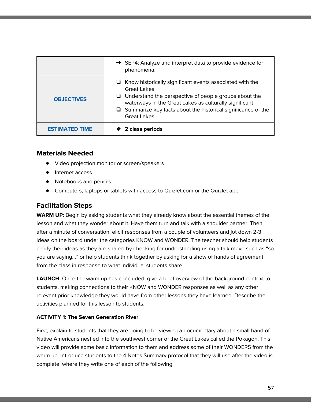|                       | $\rightarrow$ SEP4: Analyze and interpret data to provide evidence for<br>phenomena.                                                                                                                                                                                                                  |
|-----------------------|-------------------------------------------------------------------------------------------------------------------------------------------------------------------------------------------------------------------------------------------------------------------------------------------------------|
| <b>OBJECTIVES</b>     | $\Box$ Know historically significant events associated with the<br>Great Lakes<br>$\Box$ Understand the perspective of people groups about the<br>waterways in the Great Lakes as culturally significant<br>$\Box$ Summarize key facts about the historical significance of the<br><b>Great Lakes</b> |
| <b>ESTIMATED TIME</b> | 2 class periods                                                                                                                                                                                                                                                                                       |

### **Materials Needed**

- **●** Video projection monitor or screen/speakers
- Internet access
- Notebooks and pencils
- Computers, laptops or tablets with access to Quizlet.com or the Quizlet app

## **Facilitation Steps**

**WARM UP**: Begin by asking students what they already know about the essential themes of the lesson and what they wonder about it. Have them turn and talk with a shoulder partner. Then, after a minute of conversation, elicit responses from a couple of volunteers and jot down 2-3 ideas on the board under the categories KNOW and WONDER. The teacher should help students clarify their ideas as they are shared by checking for understanding using a talk move such as "so you are saying…" or help students think together by asking for a show of hands of agreement from the class in response to what individual students share.

**LAUNCH**: Once the warm up has concluded, give a brief overview of the background context to students, making connections to their KNOW and WONDER responses as well as any other relevant prior knowledge they would have from other lessons they have learned. Describe the activities planned for this lesson to students.

### **ACTIVITY 1: The Seven Generation River**

First, explain to students that they are going to be viewing a documentary about a small band of Native Americans nestled into the southwest corner of the Great Lakes called the Pokagon. This video will provide some basic information to them and address some of their WONDERS from the warm up. Introduce students to the 4 Notes Summary protocol that they will use after the video is complete, where they write one of each of the following: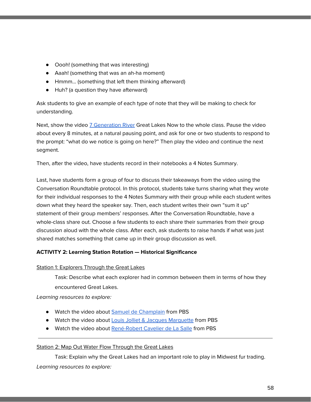- Oooh! (something that was interesting)
- Aaah! (something that was an ah-ha moment)
- Hmmm… (something that left them thinking afterward)
- Huh? (a question they have afterward)

Ask students to give an example of each type of note that they will be making to check for understanding.

Next, show the video 7 [Generation](https://dptv.pbslearningmedia.org/resource/4c67c4f0-c133-48c5-bf8f-470f1478b112/the-seven-generation-river-great-lakes-now/) River Great Lakes Now to the whole class. Pause the video about every 8 minutes, at a natural pausing point, and ask for one or two students to respond to the prompt: "what do we notice is going on here?" Then play the video and continue the next segment.

Then, after the video, have students record in their notebooks a 4 Notes Summary.

Last, have students form a group of four to discuss their takeaways from the video using the Conversation Roundtable protocol. In this protocol, students take turns sharing what they wrote for their individual responses to the 4 Notes Summary with their group while each student writes down what they heard the speaker say. Then, each student writes their own "sum it up" statement of their group members' responses. After the Conversation Roundtable, have a whole-class share out. Choose a few students to each share their summaries from their group discussion aloud with the whole class. After each, ask students to raise hands if what was just shared matches something that came up in their group discussion as well.

### **ACTIVITY 2: Learning Station Rotation — Historical Significance**

#### Station 1: Explorers Through the Great Lakes

Task: Describe what each explorer had in common between them in terms of how they encountered Great Lakes.

Learning resources to explore:

- Watch the video about Samuel de [Champlain](https://dptv.pbslearningmedia.org/resource/champlain-pbs-explorers/champlain-pbs-explorers/) from PBS
- Watch the video about Louis Jolliet & Jacques [Marquette](https://dptv.pbslearningmedia.org/resource/af74d68c-5a82-401e-b4e1-f431827b547b/louis-jolliet-jacques-marquette-pbs-world-explorers/) from PBS
- Watch the video about [René-Robert](https://dptv.pbslearningmedia.org/resource/de-la-salle-pbs-world-explorers/de-la-salle-pbs-world-explorers/) Cavelier de La Salle from PBS

#### Station 2: Map Out Water Flow Through the Great Lakes

Task: Explain why the Great Lakes had an important role to play in Midwest fur trading. Learning resources to explore: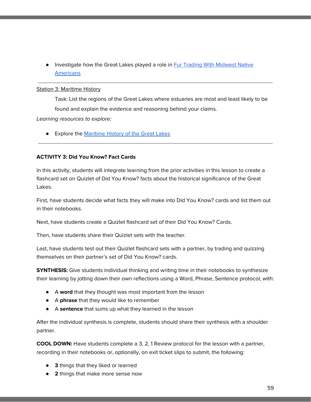**.** Investigate how the Great Lakes played a role in **Fur Trading With [Midwest](http://publications.newberry.org/indiansofthemidwest/people-places-time/eras/fur-trade/) Native [Americans](http://publications.newberry.org/indiansofthemidwest/people-places-time/eras/fur-trade/)** 

#### **Station 3: Maritime History**

Task: List the regions of the Great Lakes where estuaries are most and least likely to be found and explain the evidence and reasoning behind your claims.

Learning resources to explore:

**•** Explore the [Maritime](http://www.maritimehistoryofthegreatlakes.ca/) History of the Great Lakes

### **ACTIVITY 3: Did You Know? Fact Cards**

In this activity, students will integrate learning from the prior activities in this lesson to create a flashcard set on Quizlet of Did You Know? facts about the historical significance of the Great Lakes.

First, have students decide what facts they will make into Did You Know? cards and list them out in their notebooks.

Next, have students create a Quizlet flashcard set of their Did You Know? Cards.

Then, have students share their Quizlet sets with the teacher.

Last, have students test out their Quizlet flashcard sets with a partner, by trading and quizzing themselves on their partner's set of Did You Know? cards.

**SYNTHESIS:** Give students individual thinking and writing time in their notebooks to synthesize their learning by jotting down their own reflections using a Word, Phrase, Sentence protocol, with:

- A **word** that they thought was most important from the lesson
- A **phrase** that they would like to remember
- A **sentence** that sums up what they learned in the lesson

After the individual synthesis is complete, students should share their synthesis with a shoulder partner.

**COOL DOWN:** Have students complete a 3, 2, 1 Review protocol for the lesson with a partner, recording in their notebooks or, optionally, on exit ticket slips to submit, the following:

- **3** things that they liked or learned
- **2** things that make more sense now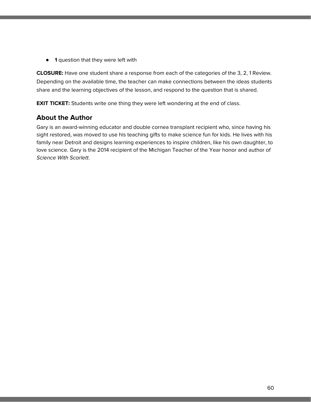● **1** question that they were left with

**CLOSURE:** Have one student share a response from each of the categories of the 3, 2, 1 Review. Depending on the available time, the teacher can make connections between the ideas students share and the learning objectives of the lesson, and respond to the question that is shared.

**EXIT TICKET:** Students write one thing they were left wondering at the end of class.

## **About the Author**

Gary is an award-winning educator and double cornea transplant recipient who, since having his sight restored, was moved to use his teaching gifts to make science fun for kids. He lives with his family near Detroit and designs learning experiences to inspire children, like his own daughter, to love science. Gary is the 2014 recipient of the Michigan Teacher of the Year honor and author of Science With Scarlett.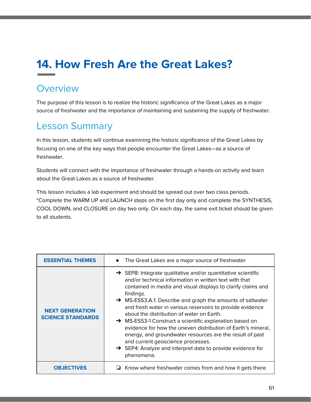# **14. How Fresh Are the Great Lakes?**

# **Overview**

The purpose of this lesson is to realize the historic significance of the Great Lakes as a major source of freshwater and the importance of maintaining and sustaining the supply of freshwater.

# Lesson Summary

In this lesson, students will continue examining the historic significance of the Great Lakes by focusing on one of the key ways that people encounter the Great Lakes—as a source of freshwater.

Students will connect with the importance of freshwater through a hands-on activity and learn about the Great Lakes as a source of freshwater.

This lesson includes a lab experiment and should be spread out over two class periods. \*Complete the WARM UP and LAUNCH steps on the first day only and complete the SYNTHESIS, COOL DOWN, and CLOSURE on day two only. On each day, the same exit ticket should be given to all students.

| <b>ESSENTIAL THEMES</b>                            | The Great Lakes are a major source of freshwater<br>$\bullet$                                                                                                                                                                                                                                                                                                                                                                                                                                                                                                                                                                                                                                               |
|----------------------------------------------------|-------------------------------------------------------------------------------------------------------------------------------------------------------------------------------------------------------------------------------------------------------------------------------------------------------------------------------------------------------------------------------------------------------------------------------------------------------------------------------------------------------------------------------------------------------------------------------------------------------------------------------------------------------------------------------------------------------------|
| <b>NEXT GENERATION</b><br><b>SCIENCE STANDARDS</b> | $\rightarrow$ SEP8: Integrate qualitative and/or quantitative scientific<br>and/or technical information in written text with that<br>contained in media and visual displays to clarify claims and<br>findings.<br>→ MS-ESS3.A.1: Describe and graph the amounts of saltwater<br>and fresh water in various reservoirs to provide evidence<br>about the distribution of water on Earth.<br>→ MS-ESS3-1 Construct a scientific explanation based on<br>evidence for how the uneven distribution of Earth's mineral,<br>energy, and groundwater resources are the result of past<br>and current geoscience processes.<br>$\rightarrow$ SEP4: Analyze and interpret data to provide evidence for<br>phenomena. |
| <b>OBJECTIVES</b>                                  | Know where freshwater comes from and how it gets there                                                                                                                                                                                                                                                                                                                                                                                                                                                                                                                                                                                                                                                      |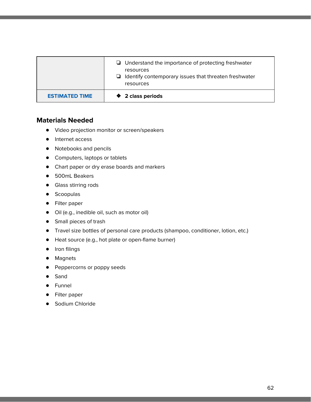|                       | $\Box$ Understand the importance of protecting freshwater<br>resources<br>$\Box$ Identify contemporary issues that threaten freshwater<br>resources |
|-----------------------|-----------------------------------------------------------------------------------------------------------------------------------------------------|
| <b>ESTIMATED TIME</b> | ♦ 2 class periods                                                                                                                                   |

### **Materials Needed**

- Video projection monitor or screen/speakers
- Internet access
- Notebooks and pencils
- Computers, laptops or tablets
- Chart paper or dry erase boards and markers
- 500mL Beakers
- Glass stirring rods
- Scoopulas
- Filter paper
- Oil (e.g., inedible oil, such as motor oil)
- Small pieces of trash
- Travel size bottles of personal care products (shampoo, conditioner, lotion, etc.)
- Heat source (e.g., hot plate or open-flame burner)
- Iron filings
- Magnets
- Peppercorns or poppy seeds
- Sand
- Funnel
- Filter paper
- Sodium Chloride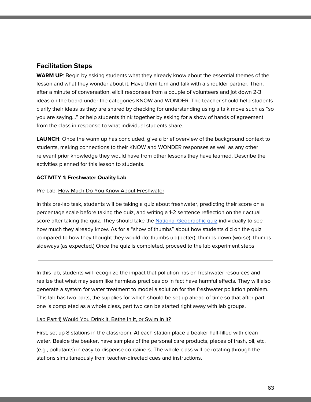### **Facilitation Steps**

**WARM UP**: Begin by asking students what they already know about the essential themes of the lesson and what they wonder about it. Have them turn and talk with a shoulder partner. Then, after a minute of conversation, elicit responses from a couple of volunteers and jot down 2-3 ideas on the board under the categories KNOW and WONDER. The teacher should help students clarify their ideas as they are shared by checking for understanding using a talk move such as "so you are saying…" or help students think together by asking for a show of hands of agreement from the class in response to what individual students share.

**LAUNCH**: Once the warm up has concluded, give a brief overview of the background context to students, making connections to their KNOW and WONDER responses as well as any other relevant prior knowledge they would have from other lessons they have learned. Describe the activities planned for this lesson to students.

### **ACTIVITY 1: Freshwater Quality Lab**

#### Pre-Lab: How Much Do You Know About Freshwater

In this pre-lab task, students will be taking a quiz about freshwater, predicting their score on a percentage scale before taking the quiz, and writing a 1-2 sentence reflection on their actual score after taking the quiz. They should take the National [Geographic](https://www.nationalgeographic.com/science/quizzes/freshwater-quiz/) quiz individually to see how much they already know. As for a "show of thumbs" about how students did on the quiz compared to how they thought they would do: thumbs up (better); thumbs down (worse); thumbs sideways (as expected.) Once the quiz is completed, proceed to the lab experiment steps

In this lab, students will recognize the impact that pollution has on freshwater resources and realize that what may seem like harmless practices do in fact have harmful effects. They will also generate a system for water treatment to model a solution for the freshwater pollution problem. This lab has two parts, the supplies for which should be set up ahead of time so that after part one is completed as a whole class, part two can be started right away with lab groups.

#### Lab Part 1) Would You Drink It, Bathe In It, or Swim In It?

First, set up 8 stations in the classroom. At each station place a beaker half-filled with clean water. Beside the beaker, have samples of the personal care products, pieces of trash, oil, etc. (e.g., pollutants) in easy-to-dispense containers. The whole class will be rotating through the stations simultaneously from teacher-directed cues and instructions.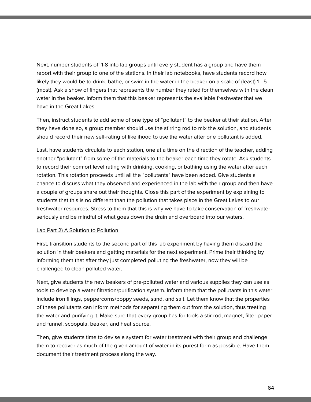Next, number students off 1-8 into lab groups until every student has a group and have them report with their group to one of the stations. In their lab notebooks, have students record how likely they would be to drink, bathe, or swim in the water in the beaker on a scale of (least) 1 - 5 (most). Ask a show of fingers that represents the number they rated for themselves with the clean water in the beaker. Inform them that this beaker represents the available freshwater that we have in the Great Lakes.

Then, instruct students to add some of one type of "pollutant" to the beaker at their station. After they have done so, a group member should use the stirring rod to mix the solution, and students should record their new self-rating of likelihood to use the water after one pollutant is added.

Last, have students circulate to each station, one at a time on the direction of the teacher, adding another "pollutant" from some of the materials to the beaker each time they rotate. Ask students to record their comfort level rating with drinking, cooking, or bathing using the water after each rotation. This rotation proceeds until all the "pollutants" have been added. Give students a chance to discuss what they observed and experienced in the lab with their group and then have a couple of groups share out their thoughts. Close this part of the experiment by explaining to students that this is no different than the pollution that takes place in the Great Lakes to our freshwater resources. Stress to them that this is why we have to take conservation of freshwater seriously and be mindful of what goes down the drain and overboard into our waters.

#### Lab Part 2) A Solution to Pollution

First, transition students to the second part of this lab experiment by having them discard the solution in their beakers and getting materials for the next experiment. Prime their thinking by informing them that after they just completed polluting the freshwater, now they will be challenged to clean polluted water.

Next, give students the new beakers of pre-polluted water and various supplies they can use as tools to develop a water filtration/purification system. Inform them that the pollutants in this water include iron filings, peppercorns/poppy seeds, sand, and salt. Let them know that the properties of these pollutants can inform methods for separating them out from the solution, thus treating the water and purifying it. Make sure that every group has for tools a stir rod, magnet, filter paper and funnel, scoopula, beaker, and heat source.

Then, give students time to devise a system for water treatment with their group and challenge them to recover as much of the given amount of water in its purest form as possible. Have them document their treatment process along the way.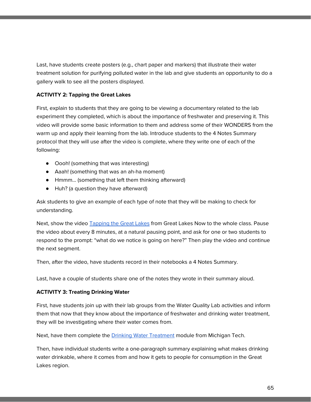Last, have students create posters (e.g., chart paper and markers) that illustrate their water treatment solution for purifying polluted water in the lab and give students an opportunity to do a gallery walk to see all the posters displayed.

### **ACTIVITY 2: Tapping the Great Lakes**

First, explain to students that they are going to be viewing a documentary related to the lab experiment they completed, which is about the importance of freshwater and preserving it. This video will provide some basic information to them and address some of their WONDERS from the warm up and apply their learning from the lab. Introduce students to the 4 Notes Summary protocol that they will use after the video is complete, where they write one of each of the following:

- Oooh! (something that was interesting)
- Aaah! (something that was an ah-ha moment)
- Hmmm… (something that left them thinking afterward)
- Huh? (a question they have afterward)

Ask students to give an example of each type of note that they will be making to check for understanding.

Next, show the video **[Tapping](https://dptv.pbslearningmedia.org/resource/c7c8dc40-9cf3-4aa9-9256-1d43cc92a7d7/tapping-the-great-lakes-great-lakes-now/) the Great Lakes from Great Lakes Now to the whole class. Pause** the video about every 8 minutes, at a natural pausing point, and ask for one or two students to respond to the prompt: "what do we notice is going on here?" Then play the video and continue the next segment.

Then, after the video, have students record in their notebooks a 4 Notes Summary.

Last, have a couple of students share one of the notes they wrote in their summary aloud.

#### **ACTIVITY 3: Treating Drinking Water**

First, have students join up with their lab groups from the Water Quality Lab activities and inform them that now that they know about the importance of freshwater and drinking water treatment, they will be investigating where their water comes from.

Next, have them complete the **Drinking Water [Treatment](http://techalive.mtu.edu/meec/module03/title.htm)** module from Michigan Tech.

Then, have individual students write a one-paragraph summary explaining what makes drinking water drinkable, where it comes from and how it gets to people for consumption in the Great Lakes region.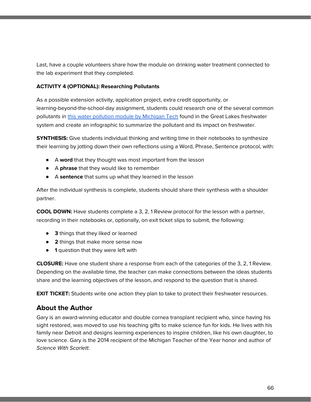Last, have a couple volunteers share how the module on drinking water treatment connected to the lab experiment that they completed.

#### **ACTIVITY 4 (OPTIONAL): Researching Pollutants**

As a possible extension activity, application project, extra credit opportunity, or learning-beyond-the-school-day assignment, students could research one of the several common pollutants in this water pollution module by [Michigan](http://techalive.mtu.edu/meec/module02/title.htm) Tech found in the Great Lakes freshwater system and create an infographic to summarize the pollutant and its impact on freshwater.

**SYNTHESIS:** Give students individual thinking and writing time in their notebooks to synthesize their learning by jotting down their own reflections using a Word, Phrase, Sentence protocol, with:

- A **word** that they thought was most important from the lesson
- A **phrase** that they would like to remember
- A **sentence** that sums up what they learned in the lesson

After the individual synthesis is complete, students should share their synthesis with a shoulder partner.

**COOL DOWN:** Have students complete a 3, 2, 1 Review protocol for the lesson with a partner, recording in their notebooks or, optionally, on exit ticket slips to submit, the following:

- **3** things that they liked or learned
- **2** things that make more sense now
- **1** question that they were left with

**CLOSURE:** Have one student share a response from each of the categories of the 3, 2, 1 Review. Depending on the available time, the teacher can make connections between the ideas students share and the learning objectives of the lesson, and respond to the question that is shared.

**EXIT TICKET:** Students write one action they plan to take to protect their freshwater resources.

### **About the Author**

Gary is an award-winning educator and double cornea transplant recipient who, since having his sight restored, was moved to use his teaching gifts to make science fun for kids. He lives with his family near Detroit and designs learning experiences to inspire children, like his own daughter, to love science. Gary is the 2014 recipient of the Michigan Teacher of the Year honor and author of Science With Scarlett.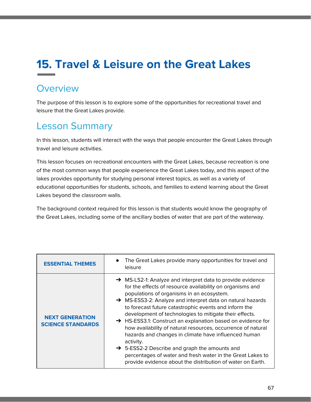# **15. Travel & Leisure on the Great Lakes**

# **Overview**

The purpose of this lesson is to explore some of the opportunities for recreational travel and leisure that the Great Lakes provide.

# Lesson Summary

In this lesson, students will interact with the ways that people encounter the Great Lakes through travel and leisure activities.

This lesson focuses on recreational encounters with the Great Lakes, because recreation is one of the most common ways that people experience the Great Lakes today, and this aspect of the lakes provides opportunity for studying personal interest topics, as well as a variety of educational opportunities for students, schools, and families to extend learning about the Great Lakes beyond the classroom walls.

The background context required for this lesson is that students would know the geography of the Great Lakes, including some of the ancillary bodies of water that are part of the waterway.

| <b>ESSENTIAL THEMES</b>                            | The Great Lakes provide many opportunities for travel and<br>$\bullet$<br>leisure                                                                                                                                                                                                                                                                                                                                                                                                                                                                                                                                                                                                                                                                              |
|----------------------------------------------------|----------------------------------------------------------------------------------------------------------------------------------------------------------------------------------------------------------------------------------------------------------------------------------------------------------------------------------------------------------------------------------------------------------------------------------------------------------------------------------------------------------------------------------------------------------------------------------------------------------------------------------------------------------------------------------------------------------------------------------------------------------------|
| <b>NEXT GENERATION</b><br><b>SCIENCE STANDARDS</b> | $\rightarrow$ MS-LS2-1: Analyze and interpret data to provide evidence<br>for the effects of resource availability on organisms and<br>populations of organisms in an ecosystem.<br>→ MS-ESS3-2: Analyze and interpret data on natural hazards<br>to forecast future catastrophic events and inform the<br>development of technologies to mitigate their effects.<br>> HS-ESS3.1: Construct an explanation based on evidence for<br>how availability of natural resources, occurrence of natural<br>hazards and changes in climate have influenced human<br>activity.<br>$\rightarrow$ 5-ESS2-2 Describe and graph the amounts and<br>percentages of water and fresh water in the Great Lakes to<br>provide evidence about the distribution of water on Earth. |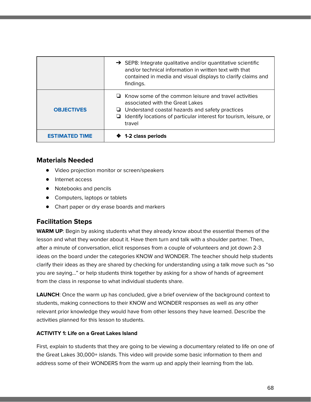|                       | $\rightarrow$ SEP8: Integrate qualitative and/or quantitative scientific<br>and/or technical information in written text with that<br>contained in media and visual displays to clarify claims and<br>findings.                                 |
|-----------------------|-------------------------------------------------------------------------------------------------------------------------------------------------------------------------------------------------------------------------------------------------|
| <b>OBJECTIVES</b>     | $\Box$ Know some of the common leisure and travel activities<br>associated with the Great Lakes<br>$\Box$ Understand coastal hazards and safety practices<br>Identify locations of particular interest for tourism, leisure, or<br>u.<br>travel |
| <b>ESTIMATED TIME</b> | 1-2 class periods                                                                                                                                                                                                                               |

### **Materials Needed**

- Video projection monitor or screen/speakers
- Internet access
- Notebooks and pencils
- Computers, laptops or tablets
- Chart paper or dry erase boards and markers

# **Facilitation Steps**

**WARM UP**: Begin by asking students what they already know about the essential themes of the lesson and what they wonder about it. Have them turn and talk with a shoulder partner. Then, after a minute of conversation, elicit responses from a couple of volunteers and jot down 2-3 ideas on the board under the categories KNOW and WONDER. The teacher should help students clarify their ideas as they are shared by checking for understanding using a talk move such as "so you are saying…" or help students think together by asking for a show of hands of agreement from the class in response to what individual students share.

**LAUNCH**: Once the warm up has concluded, give a brief overview of the background context to students, making connections to their KNOW and WONDER responses as well as any other relevant prior knowledge they would have from other lessons they have learned. Describe the activities planned for this lesson to students.

### **ACTIVITY 1: Life on a Great Lakes Island**

First, explain to students that they are going to be viewing a documentary related to life on one of the Great Lakes 30,000+ islands. This video will provide some basic information to them and address some of their WONDERS from the warm up and apply their learning from the lab.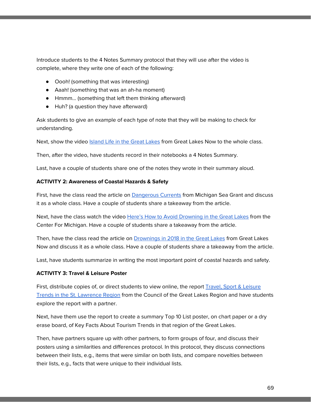Introduce students to the 4 Notes Summary protocol that they will use after the video is complete, where they write one of each of the following:

- Oooh! (something that was interesting)
- Aaah! (something that was an ah-ha moment)
- Hmmm… (something that left them thinking afterward)
- Huh? (a question they have afterward)

Ask students to give an example of each type of note that they will be making to check for understanding.

Next, show the video [Island](https://dptv.pbslearningmedia.org/resource/37397ec5-d849-48d5-9254-2d3ad244cfe0/island-life-great-lakes-now/) Life in the Great Lakes from Great Lakes Now to the whole class.

Then, after the video, have students record in their notebooks a 4 Notes Summary.

Last, have a couple of students share one of the notes they wrote in their summary aloud.

#### **ACTIVITY 2: Awareness of Coastal Hazards & Safety**

First, have the class read the article on **[Dangerous](https://www.michiganseagrant.org/topics/coastal-hazards-and-safety/dangerous-currents/) Currents** from Michigan Sea Grant and discuss it as a whole class. Have a couple of students share a takeaway from the article.

Next, have the class watch the video Here's How to Avoid [Drowning](https://dptv.pbslearningmedia.org/resource/d97f1d0f-63d0-4278-9b6f-f47a61157a31/heres-how-to-avoid-drowning-in-the-great-lakes-the-center-for-michigan/) in the Great Lakes from the Center For Michigan. Have a couple of students share a takeaway from the article.

Then, have the class read the article on [Drownings](https://www.greatlakesnow.org/2018/11/great-lakes-drownings-peaked-in-2018-and-the-years-not-over/) in 2018 in the Great Lakes from Great Lakes Now and discuss it as a whole class. Have a couple of students share a takeaway from the article.

Last, have students summarize in writing the most important point of coastal hazards and safety.

#### **ACTIVITY 3: Travel & Leisure Poster**

First, distribute copies of, or direct students to view online, the report **Travel**, Sport & [Leisure](https://councilgreatlakesregion.org/wp-content/uploads/pdfs/CGLR_Toursim_Trends.pdf) Trends in the St. [Lawrence](https://councilgreatlakesregion.org/wp-content/uploads/pdfs/CGLR_Toursim_Trends.pdf) Region from the Council of the Great Lakes Region and have students explore the report with a partner.

Next, have them use the report to create a summary Top 10 List poster, on chart paper or a dry erase board, of Key Facts About Tourism Trends in that region of the Great Lakes.

Then, have partners square up with other partners, to form groups of four, and discuss their posters using a similarities and differences protocol. In this protocol, they discuss connections between their lists, e.g., items that were similar on both lists, and compare novelties between their lists, e.g., facts that were unique to their individual lists.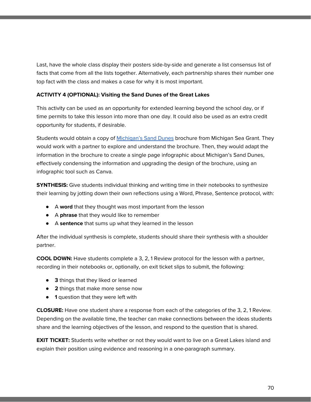Last, have the whole class display their posters side-by-side and generate a list consensus list of facts that come from all the lists together. Alternatively, each partnership shares their number one top fact with the class and makes a case for why it is most important.

### **ACTIVITY 4 (OPTIONAL): Visiting the Sand Dunes of the Great Lakes**

This activity can be used as an opportunity for extended learning beyond the school day, or if time permits to take this lesson into more than one day. It could also be used as an extra credit opportunity for students, if desirable.

Students would obtain a copy of [Michigan's](https://www.michiganseagrant.org/wp-content/uploads/2018/08/PA07_304669_7.pdf) Sand Dunes brochure from Michigan Sea Grant. They would work with a partner to explore and understand the brochure. Then, they would adapt the information in the brochure to create a single page infographic about Michigan's Sand Dunes, effectively condensing the information and upgrading the design of the brochure, using an infographic tool such as Canva.

**SYNTHESIS:** Give students individual thinking and writing time in their notebooks to synthesize their learning by jotting down their own reflections using a Word, Phrase, Sentence protocol, with:

- A **word** that they thought was most important from the lesson
- A **phrase** that they would like to remember
- A **sentence** that sums up what they learned in the lesson

After the individual synthesis is complete, students should share their synthesis with a shoulder partner.

**COOL DOWN:** Have students complete a 3, 2, 1 Review protocol for the lesson with a partner, recording in their notebooks or, optionally, on exit ticket slips to submit, the following:

- **3** things that they liked or learned
- **2** things that make more sense now
- **1** question that they were left with

**CLOSURE:** Have one student share a response from each of the categories of the 3, 2, 1 Review. Depending on the available time, the teacher can make connections between the ideas students share and the learning objectives of the lesson, and respond to the question that is shared.

**EXIT TICKET:** Students write whether or not they would want to live on a Great Lakes island and explain their position using evidence and reasoning in a one-paragraph summary.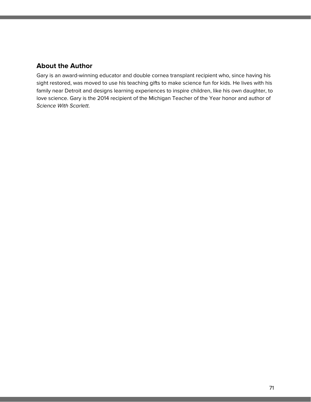### **About the Author**

Gary is an award-winning educator and double cornea transplant recipient who, since having his sight restored, was moved to use his teaching gifts to make science fun for kids. He lives with his family near Detroit and designs learning experiences to inspire children, like his own daughter, to love science. Gary is the 2014 recipient of the Michigan Teacher of the Year honor and author of Science With Scarlett.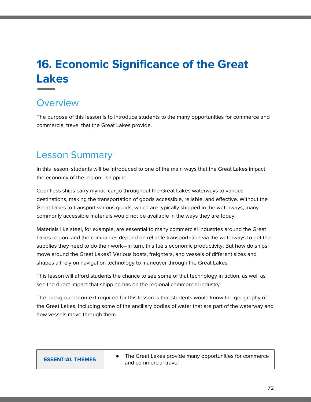# **16. Economic Significance of the Great Lakes**

# **Overview**

The purpose of this lesson is to introduce students to the many opportunities for commerce and commercial travel that the Great Lakes provide.

# Lesson Summary

In this lesson, students will be introduced to one of the main ways that the Great Lakes impact the economy of the region—shipping.

Countless ships carry myriad cargo throughout the Great Lakes waterways to various destinations, making the transportation of goods accessible, reliable, and effective. Without the Great Lakes to transport various goods, which are typically shipped in the waterways, many commonly accessible materials would not be available in the ways they are today.

Materials like steel, for example, are essential to many commercial industries around the Great Lakes region, and the companies depend on reliable transportation via the waterways to get the supplies they need to do their work—in turn, this fuels economic productivity. But how do ships move around the Great Lakes? Various boats, freighters, and vessels of different sizes and shapes all rely on navigation technology to maneuver through the Great Lakes.

This lesson will afford students the chance to see some of that technology in action, as well as see the direct impact that shipping has on the regional commercial industry.

The background context required for this lesson is that students would know the geography of the Great Lakes, including some of the ancillary bodies of water that are part of the waterway and how vessels move through them.

| <b>ESSENTIAL THEMES</b> | The Great Lakes provide many opportunities for commerce<br>and commercial travel |
|-------------------------|----------------------------------------------------------------------------------|
|-------------------------|----------------------------------------------------------------------------------|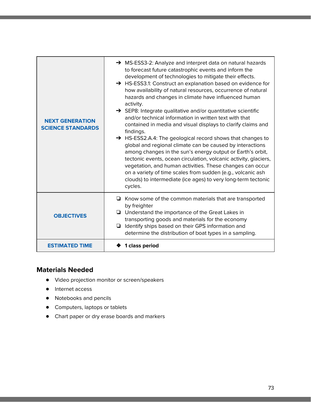| <b>NEXT GENERATION</b><br><b>SCIENCE STANDARDS</b> | $\rightarrow$ MS-ESS3-2: Analyze and interpret data on natural hazards<br>to forecast future catastrophic events and inform the<br>development of technologies to mitigate their effects.<br>→ HS-ESS3.1: Construct an explanation based on evidence for<br>how availability of natural resources, occurrence of natural<br>hazards and changes in climate have influenced human<br>activity.<br>$\rightarrow$ SEP8: Integrate qualitative and/or quantitative scientific<br>and/or technical information in written text with that<br>contained in media and visual displays to clarify claims and<br>findings.<br>→ HS-ESS2.A.4: The geological record shows that changes to<br>global and regional climate can be caused by interactions<br>among changes in the sun's energy output or Earth's orbit,<br>tectonic events, ocean circulation, volcanic activity, glaciers,<br>vegetation, and human activities. These changes can occur<br>on a variety of time scales from sudden (e.g., volcanic ash<br>clouds) to intermediate (ice ages) to very long-term tectonic<br>cycles. |
|----------------------------------------------------|---------------------------------------------------------------------------------------------------------------------------------------------------------------------------------------------------------------------------------------------------------------------------------------------------------------------------------------------------------------------------------------------------------------------------------------------------------------------------------------------------------------------------------------------------------------------------------------------------------------------------------------------------------------------------------------------------------------------------------------------------------------------------------------------------------------------------------------------------------------------------------------------------------------------------------------------------------------------------------------------------------------------------------------------------------------------------------------|
| <b>OBJECTIVES</b>                                  | $\Box$ Know some of the common materials that are transported<br>by freighter<br>$\Box$ Understand the importance of the Great Lakes in<br>transporting goods and materials for the economy<br>Identify ships based on their GPS information and<br>determine the distribution of boat types in a sampling.                                                                                                                                                                                                                                                                                                                                                                                                                                                                                                                                                                                                                                                                                                                                                                           |
| <b>ESTIMATED TIME</b>                              | ◆ 1 class period                                                                                                                                                                                                                                                                                                                                                                                                                                                                                                                                                                                                                                                                                                                                                                                                                                                                                                                                                                                                                                                                      |

# **Materials Needed**

- Video projection monitor or screen/speakers
- Internet access
- Notebooks and pencils
- Computers, laptops or tablets
- Chart paper or dry erase boards and markers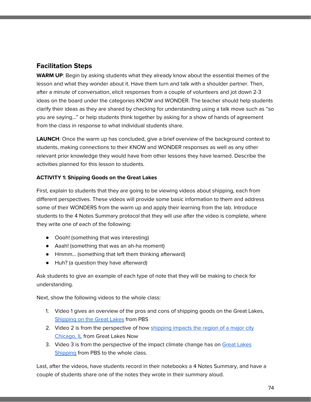# **Facilitation Steps**

**WARM UP**: Begin by asking students what they already know about the essential themes of the lesson and what they wonder about it. Have them turn and talk with a shoulder partner. Then, after a minute of conversation, elicit responses from a couple of volunteers and jot down 2-3 ideas on the board under the categories KNOW and WONDER. The teacher should help students clarify their ideas as they are shared by checking for understanding using a talk move such as "so you are saying…" or help students think together by asking for a show of hands of agreement from the class in response to what individual students share.

**LAUNCH**: Once the warm up has concluded, give a brief overview of the background context to students, making connections to their KNOW and WONDER responses as well as any other relevant prior knowledge they would have from other lessons they have learned. Describe the activities planned for this lesson to students.

### **ACTIVITY 1: Shipping Goods on the Great Lakes**

First, explain to students that they are going to be viewing videos about shipping, each from different perspectives. These videos will provide some basic information to them and address some of their WONDERS from the warm up and apply their learning from the lab. Introduce students to the 4 Notes Summary protocol that they will use after the video is complete, where they write one of each of the following:

- Oooh! (something that was interesting)
- Aaah! (something that was an ah-ha moment)
- Hmmm… (something that left them thinking afterward)
- Huh? (a question they have afterward)

Ask students to give an example of each type of note that they will be making to check for understanding.

Next, show the following videos to the whole class:

- 1. Video 1 gives an overview of the pros and cons of shipping goods on the Great Lakes, [Shipping](https://dptv.pbslearningmedia.org/resource/wgvu-01h-hometown-stories/shipping-on-the-great-lakes-benefits-and-consequences-of-exporting-goods/) on the Great Lakes from PBS
- 2. Video 2 is from the perspective of how [shipping](https://dptv.pbslearningmedia.org/resource/46cd7b0c-9c7e-46a3-9a5e-9f4efbc5589e/shipping-news-the-geography-of-the-great-lakes-curriculum/) impacts the region of a major city [Chicago,](https://dptv.pbslearningmedia.org/resource/46cd7b0c-9c7e-46a3-9a5e-9f4efbc5589e/shipping-news-the-geography-of-the-great-lakes-curriculum/) IL from Great Lakes Now
- 3. Video 3 is from the perspective of the impact climate change has on Great [Lakes](https://dptv.pbslearningmedia.org/resource/ecb10.sci.ess.watcyc.shipping/climate-wisconsin-great-lakes-shipping/) [Shipping](https://dptv.pbslearningmedia.org/resource/ecb10.sci.ess.watcyc.shipping/climate-wisconsin-great-lakes-shipping/) from PBS to the whole class.

Last, after the videos, have students record in their notebooks a 4 Notes Summary, and have a couple of students share one of the notes they wrote in their summary aloud.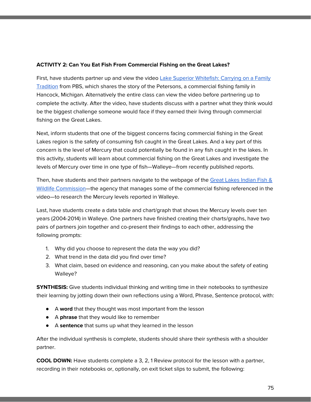#### **ACTIVITY 2: Can You Eat Fish From Commercial Fishing on the Great Lakes?**

First, have students partner up and view the video Lake Superior [Whitefish:](https://dptv.pbslearningmedia.org/resource/the-ways-lake-superior-whitefish/wpt-education/) Carrying on a Family [Tradition](https://dptv.pbslearningmedia.org/resource/the-ways-lake-superior-whitefish/wpt-education/) from PBS, which shares the story of the Petersons, a commercial fishing family in Hancock, Michigan. Alternatively the entire class can view the video before partnering up to complete the activity. After the video, have students discuss with a partner what they think would be the biggest challenge someone would face if they earned their living through commercial fishing on the Great Lakes.

Next, inform students that one of the biggest concerns facing commercial fishing in the Great Lakes region is the safety of consuming fish caught in the Great Lakes. And a key part of this concern is the level of Mercury that could potentially be found in any fish caught in the lakes. In this activity, students will learn about commercial fishing on the Great Lakes and investigate the levels of Mercury over time in one type of fish—Walleye—from recently published reports.

Then, have students and their partners navigate to the webpage of the Great Lakes [Indian](http://www.glifwc.org/Mercury/index.html) Fish & Wildlife [Commission](http://www.glifwc.org/Mercury/index.html)—the agency that manages some of the commercial fishing referenced in the video—to research the Mercury levels reported in Walleye.

Last, have students create a data table and chart/graph that shows the Mercury levels over ten years (2004-2014) in Walleye. One partners have finished creating their charts/graphs, have two pairs of partners join together and co-present their findings to each other, addressing the following prompts:

- 1. Why did you choose to represent the data the way you did?
- 2. What trend in the data did you find over time?
- 3. What claim, based on evidence and reasoning, can you make about the safety of eating Walleye?

**SYNTHESIS:** Give students individual thinking and writing time in their notebooks to synthesize their learning by jotting down their own reflections using a Word, Phrase, Sentence protocol, with:

- A **word** that they thought was most important from the lesson
- A **phrase** that they would like to remember
- A **sentence** that sums up what they learned in the lesson

After the individual synthesis is complete, students should share their synthesis with a shoulder partner.

**COOL DOWN:** Have students complete a 3, 2, 1 Review protocol for the lesson with a partner, recording in their notebooks or, optionally, on exit ticket slips to submit, the following: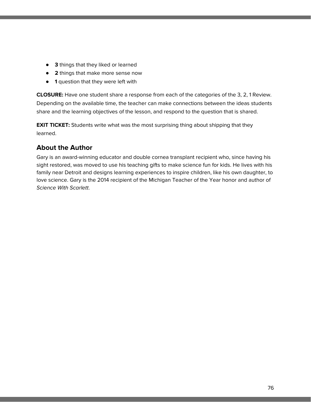- **3** things that they liked or learned
- **2** things that make more sense now
- **1** question that they were left with

**CLOSURE:** Have one student share a response from each of the categories of the 3, 2, 1 Review. Depending on the available time, the teacher can make connections between the ideas students share and the learning objectives of the lesson, and respond to the question that is shared.

**EXIT TICKET:** Students write what was the most surprising thing about shipping that they learned.

# **About the Author**

Gary is an award-winning educator and double cornea transplant recipient who, since having his sight restored, was moved to use his teaching gifts to make science fun for kids. He lives with his family near Detroit and designs learning experiences to inspire children, like his own daughter, to love science. Gary is the 2014 recipient of the Michigan Teacher of the Year honor and author of Science With Scarlett.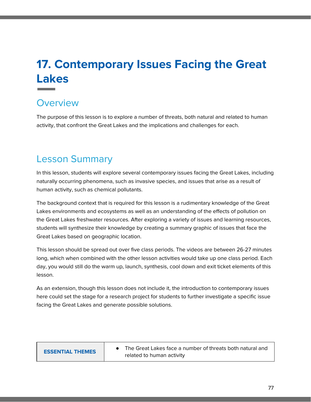# **17. Contemporary Issues Facing the Great Lakes**

# **Overview**

The purpose of this lesson is to explore a number of threats, both natural and related to human activity, that confront the Great Lakes and the implications and challenges for each.

# Lesson Summary

In this lesson, students will explore several contemporary issues facing the Great Lakes, including naturally occurring phenomena, such as invasive species, and issues that arise as a result of human activity, such as chemical pollutants.

The background context that is required for this lesson is a rudimentary knowledge of the Great Lakes environments and ecosystems as well as an understanding of the effects of pollution on the Great Lakes freshwater resources. After exploring a variety of issues and learning resources, students will synthesize their knowledge by creating a summary graphic of issues that face the Great Lakes based on geographic location.

This lesson should be spread out over five class periods. The videos are between 26-27 minutes long, which when combined with the other lesson activities would take up one class period. Each day, you would still do the warm up, launch, synthesis, cool down and exit ticket elements of this lesson.

As an extension, though this lesson does not include it, the introduction to contemporary issues here could set the stage for a research project for students to further investigate a specific issue facing the Great Lakes and generate possible solutions.

| <b>ESSENTIAL THEMES</b> | The Great Lakes face a number of threats both natural and<br>related to human activity |
|-------------------------|----------------------------------------------------------------------------------------|
|-------------------------|----------------------------------------------------------------------------------------|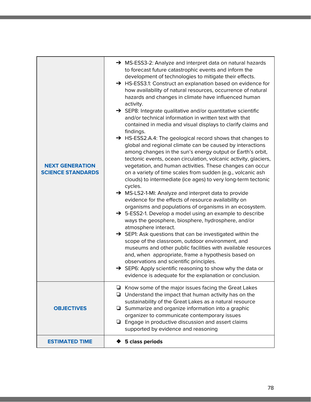| <b>NEXT GENERATION</b><br><b>SCIENCE STANDARDS</b> | → MS-ESS3-2: Analyze and interpret data on natural hazards<br>to forecast future catastrophic events and inform the<br>development of technologies to mitigate their effects.<br>→ HS-ESS3.1: Construct an explanation based on evidence for<br>how availability of natural resources, occurrence of natural<br>hazards and changes in climate have influenced human<br>activity.<br>SEP8: Integrate qualitative and/or quantitative scientific<br>and/or technical information in written text with that<br>contained in media and visual displays to clarify claims and<br>findings.<br>→ HS-ESS2.A.4: The geological record shows that changes to<br>global and regional climate can be caused by interactions<br>among changes in the sun's energy output or Earth's orbit,<br>tectonic events, ocean circulation, volcanic activity, glaciers,<br>vegetation, and human activities. These changes can occur<br>on a variety of time scales from sudden (e.g., volcanic ash<br>clouds) to intermediate (ice ages) to very long-term tectonic<br>cycles.<br>→ MS-LS2-1-MI: Analyze and interpret data to provide<br>evidence for the effects of resource availability on<br>organisms and populations of organisms in an ecosystem.<br>→ 5-ESS2-1. Develop a model using an example to describe<br>ways the geosphere, biosphere, hydrosphere, and/or<br>atmosphere interact.<br>$\rightarrow$ SEP1: Ask questions that can be investigated within the<br>scope of the classroom, outdoor environment, and<br>museums and other public facilities with available resources<br>and, when appropriate, frame a hypothesis based on<br>observations and scientific principles.<br>SEP6: Apply scientific reasoning to show why the data or<br>evidence is adequate for the explanation or conclusion. |
|----------------------------------------------------|-------------------------------------------------------------------------------------------------------------------------------------------------------------------------------------------------------------------------------------------------------------------------------------------------------------------------------------------------------------------------------------------------------------------------------------------------------------------------------------------------------------------------------------------------------------------------------------------------------------------------------------------------------------------------------------------------------------------------------------------------------------------------------------------------------------------------------------------------------------------------------------------------------------------------------------------------------------------------------------------------------------------------------------------------------------------------------------------------------------------------------------------------------------------------------------------------------------------------------------------------------------------------------------------------------------------------------------------------------------------------------------------------------------------------------------------------------------------------------------------------------------------------------------------------------------------------------------------------------------------------------------------------------------------------------------------------------------------------------------------------------------------------------------------------------|
| <b>OBJECTIVES</b>                                  | $\Box$ Know some of the major issues facing the Great Lakes<br>Understand the impact that human activity has on the<br>⊔<br>sustainability of the Great Lakes as a natural resource<br>$\Box$ Summarize and organize information into a graphic<br>organizer to communicate contemporary issues<br>Engage in productive discussion and assert claims<br>❏<br>supported by evidence and reasoning                                                                                                                                                                                                                                                                                                                                                                                                                                                                                                                                                                                                                                                                                                                                                                                                                                                                                                                                                                                                                                                                                                                                                                                                                                                                                                                                                                                                      |
| <b>ESTIMATED TIME</b>                              | 5 class periods                                                                                                                                                                                                                                                                                                                                                                                                                                                                                                                                                                                                                                                                                                                                                                                                                                                                                                                                                                                                                                                                                                                                                                                                                                                                                                                                                                                                                                                                                                                                                                                                                                                                                                                                                                                       |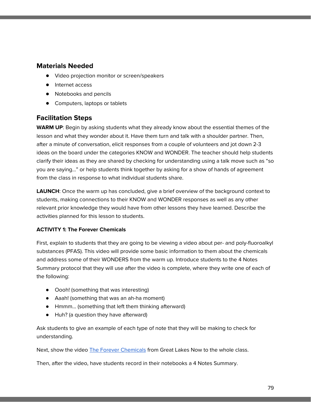### **Materials Needed**

- Video projection monitor or screen/speakers
- Internet access
- Notebooks and pencils
- Computers, laptops or tablets

# **Facilitation Steps**

**WARM UP**: Begin by asking students what they already know about the essential themes of the lesson and what they wonder about it. Have them turn and talk with a shoulder partner. Then, after a minute of conversation, elicit responses from a couple of volunteers and jot down 2-3 ideas on the board under the categories KNOW and WONDER. The teacher should help students clarify their ideas as they are shared by checking for understanding using a talk move such as "so you are saying…" or help students think together by asking for a show of hands of agreement from the class in response to what individual students share.

**LAUNCH**: Once the warm up has concluded, give a brief overview of the background context to students, making connections to their KNOW and WONDER responses as well as any other relevant prior knowledge they would have from other lessons they have learned. Describe the activities planned for this lesson to students.

#### **ACTIVITY 1: The Forever Chemicals**

First, explain to students that they are going to be viewing a video about per- and poly-fluoroalkyl substances (PFAS). This video will provide some basic information to them about the chemicals and address some of their WONDERS from the warm up. Introduce students to the 4 Notes Summary protocol that they will use after the video is complete, where they write one of each of the following:

- Oooh! (something that was interesting)
- Aaah! (something that was an ah-ha moment)
- Hmmm… (something that left them thinking afterward)
- Huh? (a question they have afterward)

Ask students to give an example of each type of note that they will be making to check for understanding.

Next, show the video The Forever [Chemicals](https://dptv.pbslearningmedia.org/resource/84cecea4-41ca-4391-bc49-53f8167251d7/the-forever-chemicals-great-lakes-now/) from Great Lakes Now to the whole class.

Then, after the video, have students record in their notebooks a 4 Notes Summary.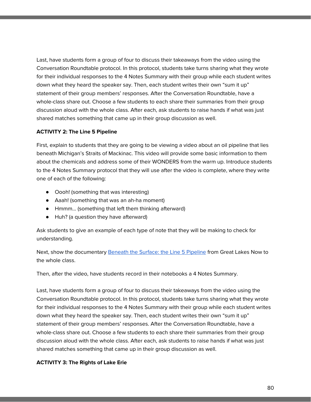Last, have students form a group of four to discuss their takeaways from the video using the Conversation Roundtable protocol. In this protocol, students take turns sharing what they wrote for their individual responses to the 4 Notes Summary with their group while each student writes down what they heard the speaker say. Then, each student writes their own "sum it up" statement of their group members' responses. After the Conversation Roundtable, have a whole-class share out. Choose a few students to each share their summaries from their group discussion aloud with the whole class. After each, ask students to raise hands if what was just shared matches something that came up in their group discussion as well.

#### **ACTIVITY 2: The Line 5 Pipeline**

First, explain to students that they are going to be viewing a video about an oil pipeline that lies beneath Michigan's Straits of Mackinac. This video will provide some basic information to them about the chemicals and address some of their WONDERS from the warm up. Introduce students to the 4 Notes Summary protocol that they will use after the video is complete, where they write one of each of the following:

- Oooh! (something that was interesting)
- Aaah! (something that was an ah-ha moment)
- Hmmm… (something that left them thinking afterward)
- Huh? (a question they have afterward)

Ask students to give an example of each type of note that they will be making to check for understanding.

Next, show the documentary [Beneath](https://dptv.pbslearningmedia.org/resource/aa857a35-d6d6-41a8-ac33-8df9880f9972/beneath-the-surface-the-line-5-pipeline-in-the-great-lakes-great-lakes-now/#.XZe3q-dKjy8) the Surface: the Line 5 Pipeline from Great Lakes Now to the whole class.

Then, after the video, have students record in their notebooks a 4 Notes Summary.

Last, have students form a group of four to discuss their takeaways from the video using the Conversation Roundtable protocol. In this protocol, students take turns sharing what they wrote for their individual responses to the 4 Notes Summary with their group while each student writes down what they heard the speaker say. Then, each student writes their own "sum it up" statement of their group members' responses. After the Conversation Roundtable, have a whole-class share out. Choose a few students to each share their summaries from their group discussion aloud with the whole class. After each, ask students to raise hands if what was just shared matches something that came up in their group discussion as well.

#### **ACTIVITY 3: The Rights of Lake Erie**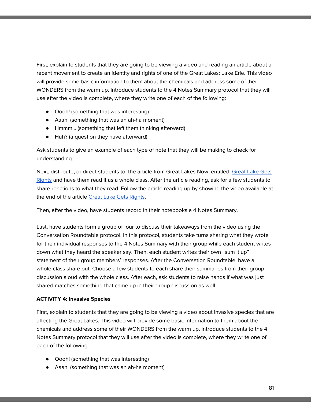First, explain to students that they are going to be viewing a video and reading an article about a recent movement to create an identity and rights of one of the Great Lakes: Lake Erie. This video will provide some basic information to them about the chemicals and address some of their WONDERS from the warm up. Introduce students to the 4 Notes Summary protocol that they will use after the video is complete, where they write one of each of the following:

- Oooh! (something that was interesting)
- Aaah! (something that was an ah-ha moment)
- Hmmm… (something that left them thinking afterward)
- Huh? (a question they have afterward)

Ask students to give an example of each type of note that they will be making to check for understanding.

Next, distribute, or direct students to, the article from [Great](https://www.greatlakesnow.org/2019/02/great-lake-gets-great-rights/) Lakes Now, entitled: Great Lake Gets [Rights](https://www.greatlakesnow.org/2019/02/great-lake-gets-great-rights/) and have them read it as a whole class. After the article reading, ask for a few students to share reactions to what they read. Follow the article reading up by showing the video available at the end of the article Great Lake Gets [Rights](https://www.greatlakesnow.org/2019/02/great-lake-gets-great-rights/).

Then, after the video, have students record in their notebooks a 4 Notes Summary.

Last, have students form a group of four to discuss their takeaways from the video using the Conversation Roundtable protocol. In this protocol, students take turns sharing what they wrote for their individual responses to the 4 Notes Summary with their group while each student writes down what they heard the speaker say. Then, each student writes their own "sum it up" statement of their group members' responses. After the Conversation Roundtable, have a whole-class share out. Choose a few students to each share their summaries from their group discussion aloud with the whole class. After each, ask students to raise hands if what was just shared matches something that came up in their group discussion as well.

#### **ACTIVITY 4: Invasive Species**

First, explain to students that they are going to be viewing a video about invasive species that are affecting the Great Lakes. This video will provide some basic information to them about the chemicals and address some of their WONDERS from the warm up. Introduce students to the 4 Notes Summary protocol that they will use after the video is complete, where they write one of each of the following:

- Oooh! (something that was interesting)
- Aaah! (something that was an ah-ha moment)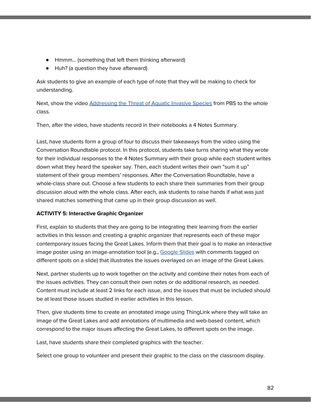- Hmmm… (something that left them thinking afterward)
- Huh? (a question they have afterward)

Ask students to give an example of each type of note that they will be making to check for understanding.

Next, show the video [Addressing](https://www.pbs.org/video/great-lakes-now-addressing-threat-aquatic-invasive-species/) the Threat of Aquatic Invasive Species from PBS to the whole class.

Then, after the video, have students record in their notebooks a 4 Notes Summary.

Last, have students form a group of four to discuss their takeaways from the video using the Conversation Roundtable protocol. In this protocol, students take turns sharing what they wrote for their individual responses to the 4 Notes Summary with their group while each student writes down what they heard the speaker say. Then, each student writes their own "sum it up" statement of their group members' responses. After the Conversation Roundtable, have a whole-class share out. Choose a few students to each share their summaries from their group discussion aloud with the whole class. After each, ask students to raise hands if what was just shared matches something that came up in their group discussion as well.

#### **ACTIVITY 5: Interactive Graphic Organizer**

First, explain to students that they are going to be integrating their learning from the earlier activities in this lesson and creating a graphic organizer that represents each of these major contemporary issues facing the Great Lakes. Inform them that their goal is to make an interactive image poster using an image-annotation tool (e.g., [Google](http://slides.google.com/) Slides with comments tagged on different spots on a slide) that illustrates the issues overlayed on an image of the Great Lakes.

Next, partner students up to work together on the activity and combine their notes from each of the issues activities. They can consult their own notes or do additional research, as needed. Content must include at least 2 links for each issue, and the issues that must be included should be at least those issues studied in earlier activities in this lesson.

Then, give students time to create an annotated image using ThingLink where they will take an image of the Great Lakes and add annotations of multimedia and web-based content, which correspond to the major issues affecting the Great Lakes, to different spots on the image.

Last, have students share their completed graphics with the teacher.

Select one group to volunteer and present their graphic to the class on the classroom display.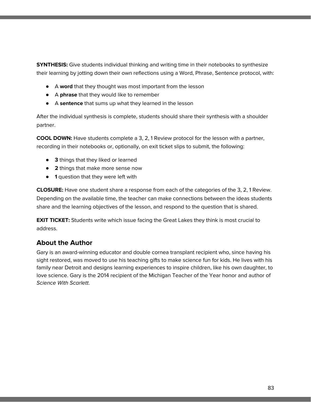**SYNTHESIS:** Give students individual thinking and writing time in their notebooks to synthesize their learning by jotting down their own reflections using a Word, Phrase, Sentence protocol, with:

- A **word** that they thought was most important from the lesson
- A **phrase** that they would like to remember
- A **sentence** that sums up what they learned in the lesson

After the individual synthesis is complete, students should share their synthesis with a shoulder partner.

**COOL DOWN:** Have students complete a 3, 2, 1 Review protocol for the lesson with a partner, recording in their notebooks or, optionally, on exit ticket slips to submit, the following:

- **3** things that they liked or learned
- **2** things that make more sense now
- **1** question that they were left with

**CLOSURE:** Have one student share a response from each of the categories of the 3, 2, 1 Review. Depending on the available time, the teacher can make connections between the ideas students share and the learning objectives of the lesson, and respond to the question that is shared.

**EXIT TICKET:** Students write which issue facing the Great Lakes they think is most crucial to address.

# **About the Author**

Gary is an award-winning educator and double cornea transplant recipient who, since having his sight restored, was moved to use his teaching gifts to make science fun for kids. He lives with his family near Detroit and designs learning experiences to inspire children, like his own daughter, to love science. Gary is the 2014 recipient of the Michigan Teacher of the Year honor and author of Science With Scarlett.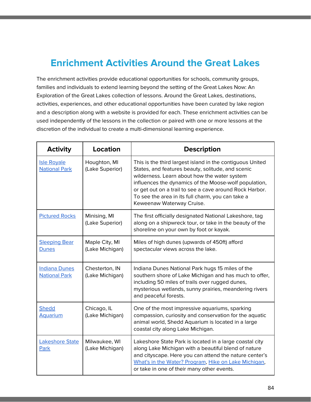# **Enrichment Activities Around the Great Lakes**

The enrichment activities provide educational opportunities for schools, community groups, families and individuals to extend learning beyond the setting of the Great Lakes Now: An Exploration of the Great Lakes collection of lessons. Around the Great Lakes, destinations, activities, experiences, and other educational opportunities have been curated by lake region and a description along with a website is provided for each. These enrichment activities can be used independently of the lessons in the collection or paired with one or more lessons at the discretion of the individual to create a multi-dimensional learning experience.

| <b>Activity</b>                              | <b>Location</b>                   | <b>Description</b>                                                                                                                                                                                                                                                                                                                                                   |
|----------------------------------------------|-----------------------------------|----------------------------------------------------------------------------------------------------------------------------------------------------------------------------------------------------------------------------------------------------------------------------------------------------------------------------------------------------------------------|
| <b>Isle Royale</b><br><b>National Park</b>   | Houghton, MI<br>(Lake Superior)   | This is the third largest island in the contiguous United<br>States, and features beauty, solitude, and scenic<br>wilderness. Learn about how the water system<br>influences the dynamics of the Moose-wolf population,<br>or get out on a trail to see a cave around Rock Harbor.<br>To see the area in its full charm, you can take a<br>Keweenaw Waterway Cruise. |
| <b>Pictured Rocks</b>                        | Minising, MI<br>(Lake Superior)   | The first officially designated National Lakeshore, tag<br>along on a shipwreck tour, or take in the beauty of the<br>shoreline on your own by foot or kayak.                                                                                                                                                                                                        |
| <b>Sleeping Bear</b><br><b>Dunes</b>         | Maple City, MI<br>(Lake Michigan) | Miles of high dunes (upwards of 450ft) afford<br>spectacular views across the lake.                                                                                                                                                                                                                                                                                  |
| <b>Indiana Dunes</b><br><b>National Park</b> | Chesterton, IN<br>(Lake Michigan) | Indiana Dunes National Park hugs 15 miles of the<br>southern shore of Lake Michigan and has much to offer,<br>including 50 miles of trails over rugged dunes,<br>mysterious wetlands, sunny prairies, meandering rivers<br>and peaceful forests.                                                                                                                     |
| Shedd<br><b>Aquarium</b>                     | Chicago, IL<br>(Lake Michigan)    | One of the most impressive aquariums, sparking<br>compassion, curiosity and conservation for the aquatic<br>animal world, Shedd Aquarium is located in a large<br>coastal city along Lake Michigan.                                                                                                                                                                  |
| <b>Lakeshore State</b><br>Park               | Milwaukee, WI<br>(Lake Michigan)  | Lakeshore State Park is located in a large coastal city<br>along Lake Michigan with a beautiful blend of nature<br>and cityscape. Here you can attend the nature center's<br>What's in the Water? Program, Hike on Lake Michigan,<br>or take in one of their many other events.                                                                                      |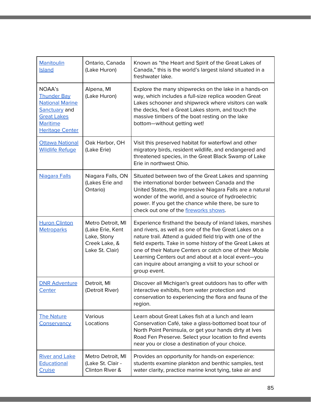| Manitoulin<br><b>Island</b>                                                                                                                | Ontario, Canada<br>(Lake Huron)                                                          | Known as "the Heart and Spirit of the Great Lakes of<br>Canada," this is the world's largest island situated in a<br>freshwater lake.                                                                                                                                                                                                                                                                                                    |
|--------------------------------------------------------------------------------------------------------------------------------------------|------------------------------------------------------------------------------------------|------------------------------------------------------------------------------------------------------------------------------------------------------------------------------------------------------------------------------------------------------------------------------------------------------------------------------------------------------------------------------------------------------------------------------------------|
| NOAA's<br><b>Thunder Bay</b><br><b>National Marine</b><br>Sanctuary and<br><b>Great Lakes</b><br><b>Maritime</b><br><b>Heritage Center</b> | Alpena, MI<br>(Lake Huron)                                                               | Explore the many shipwrecks on the lake in a hands-on<br>way, which includes a full-size replica wooden Great<br>Lakes schooner and shipwreck where visitors can walk<br>the decks, feel a Great Lakes storm, and touch the<br>massive timbers of the boat resting on the lake<br>bottom-without getting wet!                                                                                                                            |
| <b>Ottawa National</b><br><b>Wildlife Refuge</b>                                                                                           | Oak Harbor, OH<br>(Lake Erie)                                                            | Visit this preserved habitat for waterfowl and other<br>migratory birds, resident wildlife, and endangered and<br>threatened species, in the Great Black Swamp of Lake<br>Erie in northwest Ohio.                                                                                                                                                                                                                                        |
| Niagara Falls                                                                                                                              | Niagara Falls, ON<br>(Lakes Erie and<br>Ontario)                                         | Situated between two of the Great Lakes and spanning<br>the international border between Canada and the<br>United States, the impressive Niagara Falls are a natural<br>wonder of the world, and a source of hydroelectric<br>power. If you get the chance while there, be sure to<br>check out one of the fireworks shows.                                                                                                              |
| <b>Huron Clinton</b><br><b>Metroparks</b>                                                                                                  | Metro Detroit, MI<br>(Lake Erie, Kent<br>Lake, Stony<br>Creek Lake, &<br>Lake St. Clair) | Experience firsthand the beauty of inland lakes, marshes<br>and rivers, as well as one of the five Great Lakes on a<br>nature trail. Attend a guided field trip with one of the<br>field experts. Take in some history of the Great Lakes at<br>one of their Nature Centers or catch one of their Mobile<br>Learning Centers out and about at a local event-you<br>can inquire about arranging a visit to your school or<br>group event. |
| <b>DNR Adventure</b><br><b>Center</b>                                                                                                      | Detroit, MI<br>(Detroit River)                                                           | Discover all Michigan's great outdoors has to offer with<br>interactive exhibits, from water protection and<br>conservation to experiencing the flora and fauna of the<br>region.                                                                                                                                                                                                                                                        |
| <b>The Nature</b><br>Conservancy                                                                                                           | Various<br>Locations                                                                     | Learn about Great Lakes fish at a lunch and learn<br>Conservation Café, take a glass-bottomed boat tour of<br>North Point Peninsula, or get your hands dirty at Ives<br>Road Fen Preserve. Select your location to find events<br>near you or close a destination of your choice.                                                                                                                                                        |
| <b>River and Lake</b><br>Educational<br><b>Cruise</b>                                                                                      | Metro Detroit, MI<br>(Lake St. Clair -<br>Clinton River &                                | Provides an opportunity for hands-on experience:<br>students examine plankton and benthic samples, test<br>water clarity, practice marine knot tying, take air and                                                                                                                                                                                                                                                                       |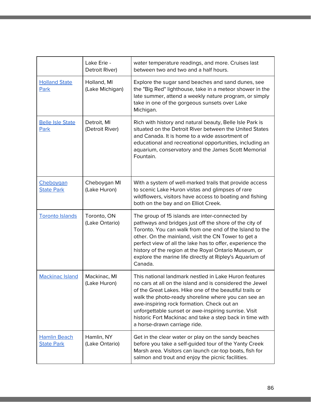|                                          | Lake Erie -<br>Detroit River)  | water temperature readings, and more. Cruises last<br>between two and two and a half hours.                                                                                                                                                                                                                                                                                                                                           |
|------------------------------------------|--------------------------------|---------------------------------------------------------------------------------------------------------------------------------------------------------------------------------------------------------------------------------------------------------------------------------------------------------------------------------------------------------------------------------------------------------------------------------------|
| <b>Holland State</b><br>Park             | Holland, MI<br>(Lake Michigan) | Explore the sugar sand beaches and sand dunes, see<br>the "Big Red" lighthouse, take in a meteor shower in the<br>late summer, attend a weekly nature program, or simply<br>take in one of the gorgeous sunsets over Lake<br>Michigan.                                                                                                                                                                                                |
| <b>Belle Isle State</b><br>Park          | Detroit, MI<br>(Detroit River) | Rich with history and natural beauty, Belle Isle Park is<br>situated on the Detroit River between the United States<br>and Canada. It is home to a wide assortment of<br>educational and recreational opportunities, including an<br>aquarium, conservatory and the James Scott Memorial<br>Fountain.                                                                                                                                 |
| Cheboygan<br><b>State Park</b>           | Cheboygan MI<br>(Lake Huron)   | With a system of well-marked trails that provide access<br>to scenic Lake Huron vistas and glimpses of rare<br>wildflowers, visitors have access to boating and fishing<br>both on the bay and on Elliot Creek.                                                                                                                                                                                                                       |
| <b>Toronto Islands</b>                   | Toronto, ON<br>(Lake Ontario)  | The group of 15 islands are inter-connected by<br>pathways and bridges just off the shore of the city of<br>Toronto. You can walk from one end of the Island to the<br>other. On the mainland, visit the CN Tower to get a<br>perfect view of all the lake has to offer, experience the<br>history of the region at the Royal Ontario Museum, or<br>explore the marine life directly at Ripley's Aquarium of<br>Canada.               |
| <b>Mackinac Island</b>                   | Mackinac, MI<br>(Lake Huron)   | This national landmark nestled in Lake Huron features<br>no cars at all on the island and is considered the Jewel<br>of the Great Lakes. Hike one of the beautiful trails or<br>walk the photo-ready shoreline where you can see an<br>awe-inspiring rock formation. Check out an<br>unforgettable sunset or awe-inspiring sunrise. Visit<br>historic Fort Mackinac and take a step back in time with<br>a horse-drawn carriage ride. |
| <b>Hamlin Beach</b><br><b>State Park</b> | Hamlin, NY<br>(Lake Ontario)   | Get in the clear water or play on the sandy beaches<br>before you take a self-guided tour of the Yanty Creek<br>Marsh area. Visitors can launch car-top boats, fish for<br>salmon and trout and enjoy the picnic facilities.                                                                                                                                                                                                          |